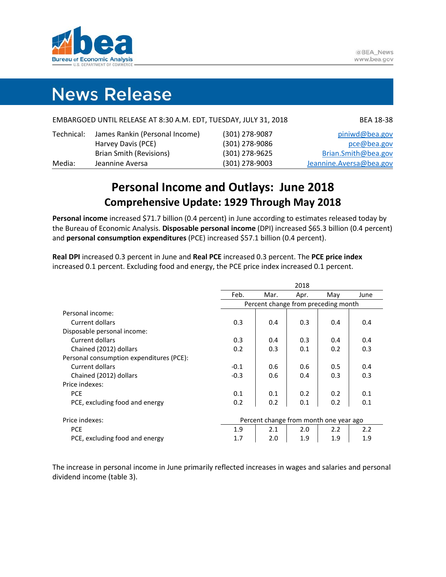

# **News Release**

|            | EMBARGOED UNTIL RELEASE AT 8:30 A.M. EDT, TUESDAY, JULY 31, 2018 |                | BEA 18-38               |
|------------|------------------------------------------------------------------|----------------|-------------------------|
| Technical: | James Rankin (Personal Income)                                   | (301) 278-9087 | piniwd@bea.gov          |
|            | Harvey Davis (PCE)                                               | (301) 278-9086 | pce@bea.gov             |
|            | <b>Brian Smith (Revisions)</b>                                   | (301) 278-9625 | Brian.Smith@bea.gov     |
| Media:     | Jeannine Aversa                                                  | (301) 278-9003 | Jeannine.Aversa@bea.gov |

# **Personal Income and Outlays: June 2018 Comprehensive Update: 1929 Through May 2018**

**Personal income** increased \$71.7 billion (0.4 percent) in June according to estimates released today by the Bureau of Economic Analysis. **Disposable personal income** (DPI) increased \$65.3 billion (0.4 percent) and **personal consumption expenditures** (PCE) increased \$57.1 billion (0.4 percent).

**Real DPI** increased 0.3 percent in June and **Real PCE** increased 0.3 percent. The **PCE price index** increased 0.1 percent. Excluding food and energy, the PCE price index increased 0.1 percent.

|                                          | 2018                                   |                                     |      |     |      |  |  |  |  |  |
|------------------------------------------|----------------------------------------|-------------------------------------|------|-----|------|--|--|--|--|--|
|                                          | Feb.                                   | Mar.                                | Apr. | May | June |  |  |  |  |  |
|                                          |                                        | Percent change from preceding month |      |     |      |  |  |  |  |  |
| Personal income:                         |                                        |                                     |      |     |      |  |  |  |  |  |
| Current dollars                          | 0.3                                    | 0.4                                 | 0.3  | 0.4 | 0.4  |  |  |  |  |  |
| Disposable personal income:              |                                        |                                     |      |     |      |  |  |  |  |  |
| Current dollars                          | 0.3                                    | 0.4                                 | 0.3  | 0.4 | 0.4  |  |  |  |  |  |
| Chained (2012) dollars                   | 0.2                                    | 0.3                                 | 0.1  | 0.2 | 0.3  |  |  |  |  |  |
| Personal consumption expenditures (PCE): |                                        |                                     |      |     |      |  |  |  |  |  |
| Current dollars                          | $-0.1$                                 | 0.6                                 | 0.6  | 0.5 | 0.4  |  |  |  |  |  |
| Chained (2012) dollars                   | $-0.3$                                 | 0.6                                 | 0.4  | 0.3 | 0.3  |  |  |  |  |  |
| Price indexes:                           |                                        |                                     |      |     |      |  |  |  |  |  |
| <b>PCE</b>                               | 0.1                                    | 0.1                                 | 0.2  | 0.2 | 0.1  |  |  |  |  |  |
| PCE, excluding food and energy           | 0.2                                    | 0.2                                 | 0.1  | 0.2 | 0.1  |  |  |  |  |  |
|                                          |                                        |                                     |      |     |      |  |  |  |  |  |
| Price indexes:                           | Percent change from month one year ago |                                     |      |     |      |  |  |  |  |  |
| <b>PCE</b>                               | 1.9                                    | 2.1                                 | 2.0  | 2.2 | 2.2  |  |  |  |  |  |
| PCE, excluding food and energy           | 1.7                                    | 2.0                                 | 1.9  | 1.9 | 1.9  |  |  |  |  |  |

The increase in personal income in June primarily reflected increases in wages and salaries and personal dividend income (table 3).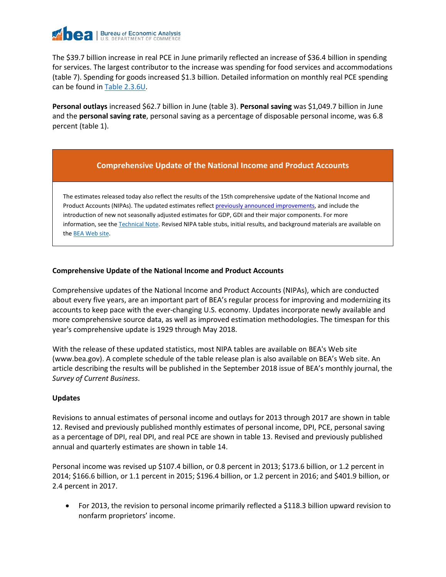

The \$39.7 billion increase in real PCE in June primarily reflected an increase of \$36.4 billion in spending for services. The largest contributor to the increase was spending for food services and accommodations (table 7). Spending for goods increased \$1.3 billion. Detailed information on monthly real PCE spending can be found i[n Table 2.3.6U.](https://bea.gov/iTable/iTableHtml.cfm?reqid=19&step=3&isuri=1&1910=x&0=-99&1921=underlying&1903=2015&1904=2015&1905=2017&1906=m&1911=0)

**Personal outlays** increased \$62.7 billion in June (table 3). **Personal saving** was \$1,049.7 billion in June and the **personal saving rate**, personal saving as a percentage of disposable personal income, was 6.8 percent (table 1).

# **Comprehensive Update of the National Income and Product Accounts**

The estimates released today also reflect the results of the 15th comprehensive update of the National Income and Product Accounts (NIPAs). The updated estimates reflec[t previously announced improvements,](https://www.bea.gov/scb/2018/04-april/0418-preview-2018-comprehensive-nipa-update.htm) and include the introduction of new not seasonally adjusted estimates for GDP, GDI and their major components. For more information, see th[e Technical](https://www.bea.gov/newsreleases/national/gdp/2018/pdf/tech2q18_adv.pdf) Note. Revised NIPA table stubs, initial results, and background materials are available on the [BEA Web site.](https://www.bea.gov/national/an1.htm)

# **Comprehensive Update of the National Income and Product Accounts**

Comprehensive updates of the National Income and Product Accounts (NIPAs), which are conducted about every five years, are an important part of BEA's regular process for improving and modernizing its accounts to keep pace with the ever-changing U.S. economy. Updates incorporate newly available and more comprehensive source data, as well as improved estimation methodologies. The timespan for this year's comprehensive update is 1929 through May 2018.

With the release of these updated statistics, most NIPA tables are available on BEA's Web site (www.bea.gov). A complete schedule of the table release plan is also available on BEA's Web site. An article describing the results will be published in the September 2018 issue of BEA's monthly journal, the *Survey of Current Business*.

# **Updates**

Revisions to annual estimates of personal income and outlays for 2013 through 2017 are shown in table 12. Revised and previously published monthly estimates of personal income, DPI, PCE, personal saving as a percentage of DPI, real DPI, and real PCE are shown in table 13. Revised and previously published annual and quarterly estimates are shown in table 14.

Personal income was revised up \$107.4 billion, or 0.8 percent in 2013; \$173.6 billion, or 1.2 percent in 2014; \$166.6 billion, or 1.1 percent in 2015; \$196.4 billion, or 1.2 percent in 2016; and \$401.9 billion, or 2.4 percent in 2017.

• For 2013, the revision to personal income primarily reflected a \$118.3 billion upward revision to nonfarm proprietors' income.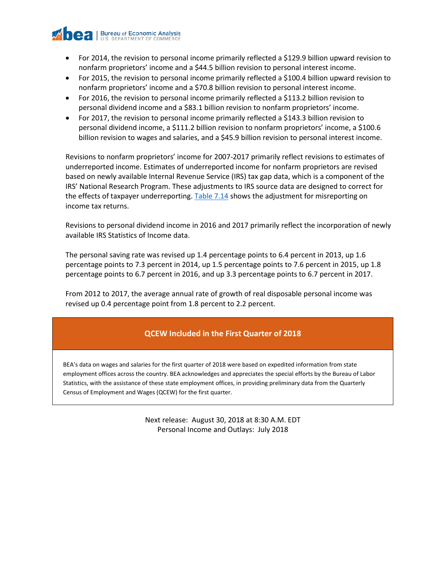

- For 2014, the revision to personal income primarily reflected a \$129.9 billion upward revision to nonfarm proprietors' income and a \$44.5 billion revision to personal interest income.
- For 2015, the revision to personal income primarily reflected a \$100.4 billion upward revision to nonfarm proprietors' income and a \$70.8 billion revision to personal interest income.
- For 2016, the revision to personal income primarily reflected a \$113.2 billion revision to personal dividend income and a \$83.1 billion revision to nonfarm proprietors' income.
- For 2017, the revision to personal income primarily reflected a \$143.3 billion revision to personal dividend income, a \$111.2 billion revision to nonfarm proprietors' income, a \$100.6 billion revision to wages and salaries, and a \$45.9 billion revision to personal interest income.

Revisions to nonfarm proprietors' income for 2007-2017 primarily reflect revisions to estimates of underreported income. Estimates of underreported income for nonfarm proprietors are revised based on newly available Internal Revenue Service (IRS) tax gap data, which is a component of the IRS' National Research Program. These adjustments to IRS source data are designed to correct for the effects of taxpayer underreporting. [Table 7.14](https://www.bea.gov/iTable/iTableHtml.cfm?reqid=19&step=3&isuri=1&1921=survey&1903=291) shows the adjustment for misreporting on income tax returns.

Revisions to personal dividend income in 2016 and 2017 primarily reflect the incorporation of newly available IRS Statistics of Income data.

The personal saving rate was revised up 1.4 percentage points to 6.4 percent in 2013, up 1.6 percentage points to 7.3 percent in 2014, up 1.5 percentage points to 7.6 percent in 2015, up 1.8 percentage points to 6.7 percent in 2016, and up 3.3 percentage points to 6.7 percent in 2017.

From 2012 to 2017, the average annual rate of growth of real disposable personal income was revised up 0.4 percentage point from 1.8 percent to 2.2 percent.

# **QCEW Included in the First Quarter of 2018**

BEA's data on wages and salaries for the first quarter of 2018 were based on expedited information from state employment offices across the country. BEA acknowledges and appreciates the special efforts by the Bureau of Labor Statistics, with the assistance of these state employment offices, in providing preliminary data from the Quarterly Census of Employment and Wages (QCEW) for the first quarter.

> Next release: August 30, 2018 at 8:30 A.M. EDT Personal Income and Outlays: July 2018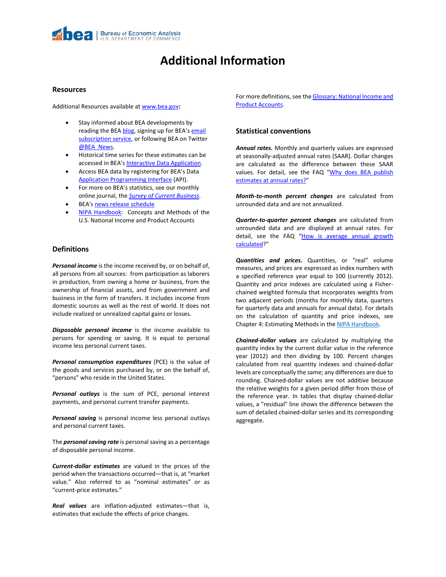

# **Additional Information**

#### **Resources**

Additional Resources available at [www.bea.gov](https://www.bea.gov/)**:**

- Stay informed about BEA developments by reading the BE[A blog,](https://blog.bea.gov/) signing up for BEA's email [subscription service,](https://www.bea.gov/_subscribe/) or following BEA on Twitter [@BEA\\_News.](https://www.twitter.com/BEA_News)
- Historical time series for these estimates can be accessed in BEA's [Interactive Data Application.](https://www.bea.gov/itable/)
- Access BEA data by registering for BEA's Data Application [Programming Interface](https://www.bea.gov/API/signup/index.cfm) (API).
- For more on BEA's statistics, see our monthly online journal, the *[Survey of Current Business](https://www.bea.gov/scb/index.htm)*.
- BEA'[s news release schedule](https://www.bea.gov/newsreleases/news_release_schedule.htm)
- [NIPA Handbook:](https://www.bea.gov/national/pdf/all-chapters.pdf) Concepts and Methods of the U.S. National Income and Product Accounts

#### **Definitions**

*Personal income* is the income received by, or on behalf of, all persons from all sources: from participation as laborers in production, from owning a home or business, from the ownership of financial assets, and from government and business in the form of transfers. It includes income from domestic sources as well as the rest of world. It does not include realized or unrealized capital gains or losses.

*Disposable personal income* is the income available to persons for spending or saving. It is equal to personal income less personal current taxes.

*Personal consumption expenditures* (PCE) is the value of the goods and services purchased by, or on the behalf of, "persons" who reside in the United States.

*Personal outlays* is the sum of PCE, personal interest payments, and personal current transfer payments.

*Personal saving* is personal income less personal outlays and personal current taxes.

The *personal saving rate* is personal saving as a percentage of disposable personal income.

*Current-dollar estimates* are valued in the prices of the period when the transactions occurred—that is, at "market value." Also referred to as "nominal estimates" or as "current-price estimates."

*Real values* are inflation-adjusted estimates—that is, estimates that exclude the effects of price changes.

For more definitions, see the **Glossary: National Income and** [Product Accounts.](https://www.bea.gov/national/pdf/glossary.pdf)

# **Statistical conventions**

*Annual rates.* Monthly and quarterly values are expressed at seasonally-adjusted annual rates (SAAR). Dollar changes are calculated as the difference between these SAAR values. For detail, see the FAQ "Why does BEA publish [estimates at annual rates?"](https://www.bea.gov/faq/index.cfm?faq_id=121)

*Month-to-month percent changes* are calculated from unrounded data and are not annualized.

*Quarter-to-quarter percent changes* are calculated from unrounded data and are displayed at annual rates. For detail, see the FAQ "How is average annual growth [calculated?](https://www.bea.gov/faq/index.cfm?faq_id=463)"

*Quantities and prices.* Quantities, or "real" volume measures, and prices are expressed as index numbers with a specified reference year equal to 100 (currently 2012). Quantity and price indexes are calculated using a Fisherchained weighted formula that incorporates weights from two adjacent periods (months for monthly data, quarters for quarterly data and annuals for annual data). For details on the calculation of quantity and price indexes, see Chapter 4: Estimating Methods in the [NIPA Handbook.](https://www.bea.gov/national/pdf/all-chapters.pdf)

*Chained-dollar values* are calculated by multiplying the quantity index by the current dollar value in the reference year (2012) and then dividing by 100. Percent changes calculated from real quantity indexes and chained-dollar levels are conceptually the same; any differences are due to rounding. Chained-dollar values are not additive because the relative weights for a given period differ from those of the reference year. In tables that display chained-dollar values, a "residual" line shows the difference between the sum of detailed chained-dollar series and its corresponding aggregate.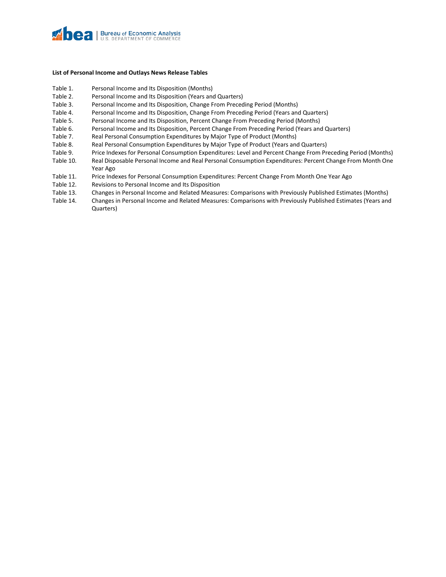

#### **List of Personal Income and Outlays News Release Tables**

- Table 1. Personal Income and Its Disposition (Months)
- Table 2. Personal Income and Its Disposition (Years and Quarters)
- Table 3. Personal Income and Its Disposition, Change From Preceding Period (Months)
- Table 4. Personal Income and Its Disposition, Change From Preceding Period (Years and Quarters)
- Table 5. Personal Income and Its Disposition, Percent Change From Preceding Period (Months)
- Table 6. Personal Income and Its Disposition, Percent Change From Preceding Period (Years and Quarters)
- Table 7. Real Personal Consumption Expenditures by Major Type of Product (Months)
- Table 8. Real Personal Consumption Expenditures by Major Type of Product (Years and Quarters)
- Table 9. Price Indexes for Personal Consumption Expenditures: Level and Percent Change From Preceding Period (Months)
- Table 10. Real Disposable Personal Income and Real Personal Consumption Expenditures: Percent Change From Month One Year Ago
- Table 11. Price Indexes for Personal Consumption Expenditures: Percent Change From Month One Year Ago
- Table 12. Revisions to Personal Income and Its Disposition
- Table 13. Changes in Personal Income and Related Measures: Comparisons with Previously Published Estimates (Months)
- Table 14. Changes in Personal Income and Related Measures: Comparisons with Previously Published Estimates (Years and Quarters)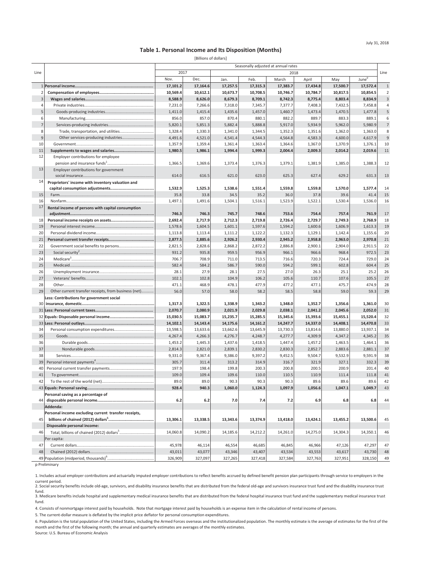#### **Table 1. Personal Income and Its Disposition (Months)**

[Billions of dollars]

|                |                                                      | Seasonally adjusted at annual rates |                |                |                |                |                |                |                   |                |
|----------------|------------------------------------------------------|-------------------------------------|----------------|----------------|----------------|----------------|----------------|----------------|-------------------|----------------|
| Line           |                                                      | 2017                                |                |                |                | 2018           |                |                |                   | Line           |
|                |                                                      | Nov.                                | Dec.           | Jan.           | Feb.           | March          | April          | May            | June <sup>p</sup> |                |
|                |                                                      | 17,101.2                            | 17,164.6       | 17,257.5       | 17,315.3       | 17,383.7       | 17,434.8       | 17,500.7       | 17,572.4          | $\mathbf{1}$   |
|                |                                                      | 10,569.4                            | 10,612.1       | 10,673.7       | 10,708.5       | 10,746.7       | 10,784.7       | 10,817.5       | 10,854.5          | $\overline{2}$ |
| 3              |                                                      | 8,588.9                             | 8,626.0        | 8,679.3        | 8,709.1        | 8,742.3        | 8,775.4        | 8,803.4        | 8,834.9           | $\mathsf 3$    |
| $\overline{a}$ |                                                      | 7,231.0                             | 7,266.6        | 7,318.0        | 7,345.7        | 7,377.7        | 7,408.3        | 7,432.5        | 7,458.8           | $\overline{4}$ |
| 5              |                                                      | 1,411.0                             | 1,415.4        | 1,435.6        | 1,457.0        | 1,460.7        | 1,473.4        | 1,470.5        | 1,477.8           | $\sf 5$        |
| 6              |                                                      | 856.0                               | 857.0          | 870.4          | 880.1          | 882.2          | 889.7          | 883.3          | 889.1             | 6              |
| $\overline{7}$ |                                                      | 5,820.1                             | 5,851.3        | 5,882.4        | 5,888.8        | 5,917.0        | 5,934.9        | 5,962.0        | 5,980.9           | $\overline{7}$ |
| 8              | Trade, transportation, and utilities                 | 1,328.4                             | 1,330.3        | 1,341.0        | 1,344.5        | 1,352.3        | 1,351.6        | 1,362.0        | 1,363.0           | 8              |
| 9              |                                                      | 4,491.6                             | 4,521.0        | 4,541.4        | 4,544.3        | 4,564.8        | 4,583.3        | 4,600.0        | 4,617.9           | $\mathsf g$    |
| 10             |                                                      | 1,357.9                             | 1,359.4        | 1,361.4        | 1,363.4        | 1,364.6        | 1,367.0        | 1,370.9        | 1,376.1           | 10             |
| 11             |                                                      | 1,980.5                             | 1,986.1        | 1,994.4        | 1,999.3        | 2,004.4        | 2,009.3        | 2,014.2        | 2,019.6           | 11             |
| 12             | Employer contributions for employee                  |                                     |                |                |                |                |                |                |                   |                |
|                |                                                      | 1,366.5                             | 1,369.6        | 1,373.4        | 1,376.3        | 1,379.1        | 1,381.9        | 1,385.0        | 1,388.3           | 12             |
| 13             | Employer contributions for government                |                                     |                |                |                |                |                |                |                   |                |
|                |                                                      | 614.0                               | 616.5          | 621.0          | 623.0          | 625.3          | 627.4          | 629.2          | 631.3             | 13             |
| 14             | Proprietors' income with inventory valuation and     |                                     |                |                |                |                |                |                |                   |                |
|                |                                                      | 1,532.9                             | 1,525.3        | 1,538.6        | 1,551.4        | 1,559.8        | 1,559.8        | 1,570.0        | 1,577.4           | 14             |
| 15             |                                                      | 35.8                                | 33.8           | 34.5           | 35.2           | 36.0           | 37.8           | 39.6           | 41.4              | 15             |
| 16             |                                                      | 1,497.1                             | 1,491.6        | 1,504.1        | 1,516.1        | 1,523.9        | 1,522.1        | 1,530.4        | 1,536.0           | 16             |
| 17             | Rental income of persons with capital consumption    |                                     |                |                |                |                |                |                |                   |                |
|                |                                                      | 746.3                               | 746.3          | 745.7          | 748.6          | 753.6          | 754.4          | 757.4          | 761.9             | 17             |
| 18             |                                                      | 2,692.4                             | 2,717.9        | 2,712.3        | 2,719.8        | 2,726.4        | 2,729.7        | 2,749.3        | 2,768.9           | 18             |
| 19             |                                                      | 1,578.6                             | 1,604.5        | 1,601.1        | 1,597.6        | 1,594.2        | 1,600.6        | 1,606.9        | 1,613.3           | 19             |
| 20             |                                                      | 1,113.8                             | 1,113.4        | 1,111.2        | 1,122.2        | 1,132.3        | 1,129.1        | 1,142.4        | 1,155.6           | 20             |
| 21             |                                                      | 2,877.5                             | 2,885.6        | 2,926.2        | 2,930.4        | 2,945.2        | 2,958.8        | 2,963.0        | 2,970.8           | 21             |
| 22             | Government social benefits to persons                | 2,821.5                             | 2,828.6        | 2,868.2        | 2,872.2        | 2,886.8        | 2,900.1        | 2,904.0        | 2,911.5           | 22             |
| 23             |                                                      | 931.2                               | 935.8          | 959.5          | 956.9          | 966.1          | 966.6          | 968.4          | 972.5             | 23             |
| 24             |                                                      | 706.7                               | 708.9          | 711.0          | 713.5          | 716.6          | 720.3          | 724.4          | 729.0             | 24             |
| 25             |                                                      | 582.4                               | 584.2          | 586.7          | 590.0          | 594.2          | 599.1          | 602.8          | 604.4             | 25             |
| 26             |                                                      | 28.1                                | 27.9           | 28.1           | 27.5           | 27.0           | 26.3           | 25.1           | 25.2              | 26             |
| 27             |                                                      | 102.1                               | 102.8          | 104.9          | 106.2          | 105.6          | 110.7          | 107.6          | 105.5             | 27             |
| 28             |                                                      | 471.1                               | 468.9          | 478.1          | 477.9          | 477.2          | 477.1          | 475.7          | 474.9             | 28             |
| 29             | Other current transfer receipts, from business (net) | 56.0                                | 57.0           | 58.0           | 58.2           | 58.5           | 58.8           | 59.0           | 59.3              | 29             |
|                | Less: Contributions for government social            |                                     |                |                |                |                |                |                |                   |                |
| 30             |                                                      | 1,317.3                             | 1,322.5        | 1,338.9        | 1,343.2        | 1,348.0        | 1,352.7        | 1,356.6        | 1,361.0           | 30             |
| 31             |                                                      | 2,070.7                             | 2,080.9        | 2,021.9        | 2,029.8        | 2,038.1        | 2,041.2        | 2,045.6        | 2,052.0           | 31             |
|                |                                                      | 15,030.5                            | 15,083.7       | 15,235.7       | 15,285.5       | 15,345.6       | 15,393.6       | 15,455.1       | 15,520.4          | 32             |
|                |                                                      | 14,102.1                            | 14,143.4       | 14,175.6       | 14,161.2       | 14,247.7       | 14,337.0       | 14,408.1       | 14,470.8          | 33             |
| 34             |                                                      | 13,598.5                            | 13,633.6       | 13,662.6       | 13,645.9       | 13,730.3       | 13,814.6       | 13,880.0       | 13,937.1          | 34             |
| 35             |                                                      | 4,267.4                             | 4,266.3        | 4,276.7        | 4,248.7        | 4,277.7        | 4,309.9        | 4,347.2        | 4,345.2           | 35             |
| 36<br>37       |                                                      | 1,453.2                             | 1,445.3        | 1,437.6        | 1,418.5        | 1,447.4        | 1,457.2        | 1,463.5        | 1,464.1           | 36<br>37       |
|                |                                                      | 2,814.3                             | 2,821.0        | 2,839.1        | 2,830.2        | 2,830.3        | 2,852.7        | 2,883.6        | 2,881.1           |                |
| 38             |                                                      | 9,331.0                             | 9,367.4        | 9,386.0        | 9,397.2        | 9,452.5        | 9,504.7        | 9,532.9        | 9,591.9           | 38             |
| 39<br>40       |                                                      | 305.7<br>197.9                      | 311.4<br>198.4 | 313.2<br>199.8 | 314.9<br>200.3 | 316.7<br>200.8 | 321.9<br>200.5 | 327.1<br>200.9 | 332.3<br>201.4    | 39<br>40       |
| 41             |                                                      | 109.0                               | 109.4          | 109.6          | 110.0          | 110.5          | 110.9          | 111.4          | 111.8             | 41             |
| 42             |                                                      | 89.0                                | 89.0           | 90.3           | 90.3           | 90.3           | 89.6           | 89.6           | 89.6              | 42             |
|                |                                                      | 928.4                               | 940.3          | 1.060.0        | 1.124.3        | 1.097.9        | 1.056.6        | 1.047.1        | 1.049.7           | 43             |
|                | Personal saving as a percentage of                   |                                     |                |                |                |                |                |                |                   |                |
| 44             |                                                      | 6.2                                 | 6.2            | 7.0            | 7.4            | 7.2            | 6.9            | 6.8            | 6.8               | 44             |
|                | Addenda:                                             |                                     |                |                |                |                |                |                |                   |                |
|                | Personal income excluding current transfer receipts, |                                     |                |                |                |                |                |                |                   |                |
| 45             |                                                      | 13,306.1                            | 13,338.5       | 13,343.6       | 13,374.9       | 13,418.0       | 13,424.1       | 13,455.2       | 13,500.6          | 45             |
|                | Disposable personal income:                          |                                     |                |                |                |                |                |                |                   |                |
| 46             |                                                      | 14,060.8                            | 14,090.2       | 14,185.6       | 14,212.2       | 14,261.0       | 14,275.0       | 14,304.3       | 14,350.1          | 46             |
|                | Per capita:                                          |                                     |                |                |                |                |                |                |                   |                |
| 47             |                                                      | 45,978                              | 46,114         | 46,554         | 46,685         | 46,845         | 46,966         | 47,126         | 47,297            | 47             |
| 48             |                                                      | 43,011                              | 43,077         | 43,346         | 43,407         | 43,534         | 43,553         | 43,617         | 43,730            | 48             |
|                |                                                      | 326,909                             | 327,097        | 327,265        | 327,418        | 327,584        | 327,763        | 327,951        | 328,150           | 49             |

p Preliminary

1. Includes actual employer contributions and actuarially imputed employer contributions to reflect benefits accrued by defined benefit pension plan participants through service to employers in the current period.

2. Social security benefits include old-age, survivors, and disability insurance benefits that are distributed from the federal old-age and survivors insurance trust fund and the disability insurance trust fund.

3. Medicare benefits include hospital and supplementary medical insurance benefits that are distributed from the federal hospital insurance trust fund and the supplementary medical insurance trust fund.

4. Consists of nonmortgage interest paid by households. Note that mortgage interest paid by households is an expense item in the calculation of rental income of persons.

5. The current-dollar measure is deflated by the implicit price deflator for personal consumption expenditures.

6. Population is the total population of the United States, including the Armed Forces overseas and the institutionalized population. The monthly estimate is the average of estimates for the first of the month and the first of the following month; the annual and quarterly estimates are averages of the monthly estimates.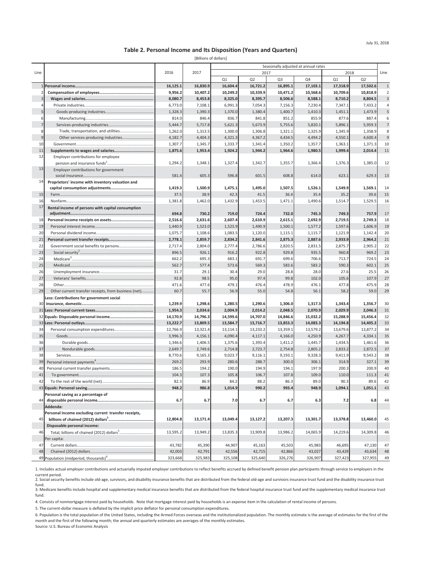#### **Table 2. Personal Income and Its Disposition (Years and Quarters)**

[Billions of dollars]

|                |                                                      |                   |          | Seasonally adjusted at annual rates |                |                   |          |          |                |                          |
|----------------|------------------------------------------------------|-------------------|----------|-------------------------------------|----------------|-------------------|----------|----------|----------------|--------------------------|
| Line           |                                                      | 2016              | 2017     |                                     | 2017           |                   |          | 2018     |                | Line                     |
|                |                                                      |                   |          | Q1                                  | Q <sub>2</sub> | Q <sub>3</sub>    | Q4       | Q1       | Q <sub>2</sub> |                          |
|                |                                                      | 16,125.1          | 16,830.9 | 16,604.4                            | 16,721.2       | 16,895.1          | 17,103.1 | 17,318.9 | 17,502.6       | $1\,$                    |
|                |                                                      | 9,956.2           | 10,407.2 | 10,249.2                            | 10,339.9       | 10,471.2          | 10,568.6 | 10,709.6 | 10,818.9       | $\overline{2}$           |
| $\overline{3}$ |                                                      | 8,080.7           | 8,453.8  | 8,325.0                             | 8,395.7        | 8,506.6           | 8,588.1  | 8,710.2  | 8,804.5        | $\mathsf 3$              |
| 4              |                                                      | 6,773.0           | 7,108.1  | 6,991.3                             | 7,054.3        | 7,156.3           | 7,230.4  | 7,347.1  | 7,433.2        | $\overline{4}$           |
| 5              |                                                      | 1,328.3           | 1,390.3  | 1,370.0                             | 1,380.4        | 1,400.7           | 1,410.3  | 1,451.1  | 1,473.9        | $\mathsf S$              |
| 6              |                                                      | 814.0             | 846.4    | 836.7                               | 841.8          | 851.2             | 855.9    | 877.6    | 887.4          | 6                        |
| $\overline{7}$ |                                                      | 5,444.7           | 5,717.8  | 5,621.3                             | 5,673.9        | 5,755.6           | 5,820.1  | 5,896.1  | 5,959.3        | $\overline{\phantom{a}}$ |
| 8              | Trade, transportation, and utilities                 | 1,262.0           | 1,313.5  | 1,300.0                             | 1,306.8        | 1,321.1           | 1,325.9  | 1,345.9  | 1,358.9        | 8                        |
| 9              | Other services-producing industries                  | 4,182.7           | 4,404.3  | 4,321.3                             | 4,367.2        | 4,434.5           | 4,494.2  | 4,550.1  | 4,600.4        | $\mathsf 9$              |
| 10             |                                                      | 1,307.7           | 1,345.7  | 1,333.7                             | 1,341.4        | 1,350.2           | 1,357.7  | 1,363.1  | 1,371.3        | 10                       |
| 11             |                                                      | 1,875.6           | 1,953.4  | 1,924.2                             | 1,944.2        | 1,964.6           | 1,980.5  | 1,999.4  | 2,014.4        | 11                       |
| 12             | Employer contributions for employee                  |                   |          |                                     |                |                   |          |          |                |                          |
|                |                                                      | 1,294.2           | 1,348.1  | 1,327.4                             | 1,342.7        | 1,355.7           | 1,366.4  | 1,376.3  | 1,385.0        | 12                       |
| 13             | Employer contributions for government                |                   |          |                                     |                |                   |          |          |                |                          |
|                |                                                      | 581.4             | 605.3    | 596.8                               | 601.5          | 608.8             | 614.0    | 623.1    | 629.3          | 13                       |
| 14             | Proprietors' income with inventory valuation and     |                   |          |                                     |                |                   |          |          |                |                          |
|                |                                                      | 1,419.3           | 1,500.9  | 1,475.1                             | 1,495.0        | 1,507.5           | 1,526.1  | 1,549.9  | 1,569.1        | 14                       |
| 15             |                                                      | 37.5              | 38.9     | 42.3                                | 41.5           | 36.4              | 35.4     | 35.2     | 39.6           | 15                       |
| 16             |                                                      | 1,381.8           | 1,462.0  | 1,432.9                             | 1,453.5        | 1,471.1           | 1,490.6  | 1,514.7  | 1,529.5        | 16                       |
| 17             | Rental income of persons with capital consumption    |                   |          |                                     |                |                   |          |          |                |                          |
|                |                                                      | 694.8             | 730.2    | 719.0                               | 724.4          | 732.0             | 745.3    | 749.3    | 757.9          | 17                       |
| 18             |                                                      | 2,516.6           | 2,631.6  | 2,607.4                             | 2,610.9        | 2,615.1           | 2,692.9  | 2,719.5  | 2,749.3        | 18                       |
| 19             |                                                      | 1,440.9           | 1,523.0  | 1,523.9                             | 1,490.9        | 1,500.1           | 1,577.2  | 1,597.6  | 1,606.9        | 19                       |
| 20             |                                                      | 1,075.7           | 1,108.6  | 1,083.5                             | 1,120.0        | 1,115.1           | 1,115.7  | 1,121.9  | 1,142.4        | 20                       |
| 21             |                                                      | 2,778.1           | 2,859.7  | 2,834.2                             | 2,841.6        | 2,875.3           | 2,887.6  | 2,933.9  | 2,964.2        | 21                       |
| 22             |                                                      | 2,717.4           | 2,804.0  | 2,777.4                             | 2,786.6        | 2,820.5           | 2,831.5  | 2,875.7  | 2,905.2        | 22                       |
| 23             |                                                      | 896.5             | 926.1    | 916.2                               | 922.8          | 929.8             | 935.5    | 960.8    | 969.2          | 23                       |
| 24             |                                                      | 662.2             | 695.3    | 683.1                               | 691.7          | 699.6             | 706.6    | 713.7    | 724.5          | 24                       |
| 25             |                                                      | 562.7             | 577.4    | 573.6                               | 569.3          | 583.6             | 583.2    | 590.3    | 602.1          | 25                       |
| 26             |                                                      | 31.7              | 29.1     | 30.4                                | 29.0           | 28.8              | 28.0     | 27.6     | 25.5           | 26                       |
| 27             |                                                      | 92.8              | 98.5     | 95.0                                | 97.4           | 99.8              | 102.0    | 105.6    | 107.9          | 27                       |
| 28             |                                                      | 471.6             | 477.6    | 479.1                               | 476.4          | 478.9             | 476.1    | 477.8    | 475.9          | 28                       |
| 29             | Other current transfer receipts, from business (net) | 60.7              | 55.7     | 56.9                                | 55.0           | 54.8              | 56.1     | 58.2     | 59.0           | 29                       |
|                | Less: Contributions for government social            |                   |          |                                     |                |                   |          |          |                |                          |
| 30             |                                                      | 1,239.9           | 1,298.6  | 1,280.5                             | 1,290.6        | 1,306.0           | 1,317.3  | 1,343.4  | 1,356.7        | 30                       |
| 31             |                                                      | 1,954.3           | 2,034.6  | 2,004.9                             | 2,014.2        | 2,048.5           | 2,070.9  | 2,029.9  | 2,046.3        | 31                       |
| 32             |                                                      | 14,170.9          | 14,796.3 | 14,599.6                            | 14,707.0       | 14,846.6          | 15,032.2 | 15,288.9 | 15,456.4       | 32                       |
| 33             |                                                      | 13,222.7          | 13,809.5 | 13,584.7                            | 13,716.7       | 13,853.3          | 14,083.3 | 14,194.8 | 14,405.3       | 33                       |
| 34             |                                                      | 12,766.9          | 13,321.4 | 13,114.1                            | 13,233.2       | 13,359.1          | 13,579.2 | 13,679.6 | 13,877.2       | 34                       |
| 35             |                                                      | 3,996.3           | 4,156.1  | 4,090.4                             | 4,117.1        | 4,166.0           | 4,250.9  | 4,267.7  | 4,334.1        | 35                       |
| 36             |                                                      | 1,346.6           | 1,406.5  | 1,375.6                             | 1,393.4        | 1,411.2           | 1,445.7  | 1,434.5  | 1,461.6        | 36                       |
| 37             |                                                      | 2,649.7           | 2,749.6  | 2,714.8                             | 2,723.7        | 2,754.8           | 2,805.2  | 2,833.2  | 2,872.5        | 37                       |
| 38             |                                                      | 8,770.6           | 9,165.3  | 9,023.7                             | 9,116.1        | 9,193.1           | 9,328.3  | 9,411.9  | 9,543.2        | 38                       |
| 39             |                                                      | 269.2             | 293.9    | 280.6                               | 288.7          | 300.0             | 306.1    | 314.9    | 327.1          | 39                       |
| 40             |                                                      | 186.5             | 194.2    | 190.0                               | 194.9          | 194.1             | 197.9    | 200.3    | 200.9          | 40                       |
| 41             |                                                      | 104.3             | 107.3    | 105.8                               | 106.7          | 107.8             | 109.0    | 110.0    | 111.3          | 41                       |
| 42             |                                                      | 82.3              | 86.9     | 84.2                                | 88.2           | 86.3              | 89.0     | 90.3     | 89.6           | 42                       |
| 43             | quals: Personal saving                               | 948.2             | 986.8    | 1.014.9                             | 990.2          | 993.4             | 948.9    | 1.094.1  | 1.051.1        | 43                       |
|                | Personal saving as a percentage of                   |                   |          |                                     |                |                   |          |          |                |                          |
| 44             |                                                      | 6.7               | 6.7      | 7.0                                 | 6.7            | 6.7               | 6.3      | 7.2      | 6.8            | 44                       |
|                | Addenda:                                             |                   |          |                                     |                |                   |          |          |                |                          |
|                | Personal income excluding current transfer receipts, |                   |          |                                     |                |                   |          |          |                |                          |
| 45             |                                                      | 12,804.8          | 13,171.4 | 13,049.4                            | 13,127.2       | 13,207.3          | 13,301.7 | 13,378.8 | 13,460.0       | 45                       |
|                | Disposable personal income:                          |                   |          |                                     |                |                   |          |          |                |                          |
| 46             |                                                      | 13,595.2          | 13,949.2 | 13,835.3                            | 13,909.8       | 13,986.2          | 14,065.9 | 14,219.6 | 14,309.8       | 46                       |
|                | Per capita:                                          |                   |          |                                     |                |                   |          |          |                |                          |
| 47             |                                                      | 43,782            | 45,390   | 44,907                              | 45,163         | 45,503            | 45,983   | 46,695   | 47,130         | 47                       |
| 48             |                                                      | 42,003<br>323,668 | 42,791   | 42,556                              | 42,715         | 42,866<br>326,276 | 43,027   | 43,429   | 43,634         | 48                       |
|                |                                                      |                   | 325,983  | 325,108                             | 325,640        |                   | 326,907  | 327,423  | 327,955        | 49                       |

1. Includes actual employer contributions and actuarially imputed employer contributions to reflect benefits accrued by defined benefit pension plan participants through service to employers in the

current period.<br>2. Social security benefits include old-age, survivors, and disability insurance benefits that are distributed from the federal old-age and survivors insurance trust fund and the disability insurance trust<br> 3. Medicare benefits include hospital and supplementary medical insurance benefits that are distributed from the federal hospital insurance trust fund and the supplementary medical insurance trust

fund.

4. Consists of nonmortgage interest paid by households. Note that mortgage interest paid by households is an expense item in the calculation of rental income of persons.

5. The current-dollar measure is deflated by the implicit price deflator for personal consumption expenditures.

6. Population is the total population of the United States, including the Armed Forces overseas and the institutionalized population. The monthly estimate is the average of estimates for the first of the month and the first of the following month; the annual and quarterly estimates are averages of the monthly estimates.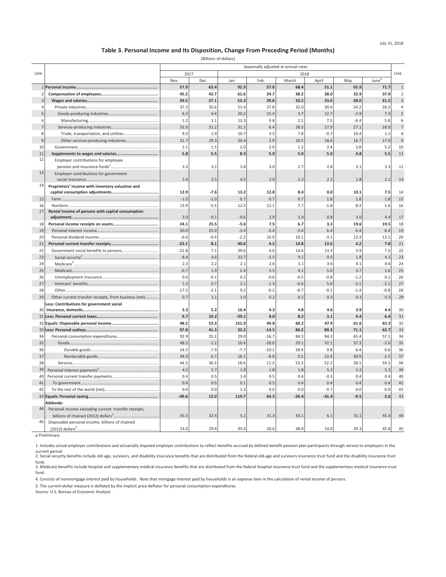#### **Table 3. Personal Income and Its Disposition, Change From Preceding Period (Months)**

[Billions of dollars]

|              |                                                      | Seasonally adjusted at annual rates |        |         |         |         |         |        |                   |                |
|--------------|------------------------------------------------------|-------------------------------------|--------|---------|---------|---------|---------|--------|-------------------|----------------|
| Line         |                                                      | 2017                                |        |         |         |         | 2018    |        |                   | Line           |
|              |                                                      | Nov.                                | Dec.   | Jan.    | Feb.    | March   | April   | May    | June <sup>p</sup> |                |
|              |                                                      | 57.9                                | 63.4   | 92.9    | 57.8    | 68.4    | 51.1    | 65.9   | 71.7              | $\mathbf{1}$   |
|              |                                                      | 45.2                                | 42.7   | 61.6    | 34.7    | 38.2    | 38.0    | 32.9   | 37.0              | $\overline{2}$ |
| 3            |                                                      | 39.5                                | 37.1   | 53.3    | 29.8    | 33.2    | 33.0    | 28.0   | 31.5              | $\overline{3}$ |
| $\Delta$     |                                                      | 37.3                                | 35.6   | 51.4    | 27.8    | 32.0    | 30.6    | 24.2   | 26.3              | $\overline{4}$ |
| 5            |                                                      | 6.3                                 | 4.4    | 20.2    | 21.4    | 3.7     | 12.7    | $-2.9$ | 7.3               | $\sf 5$        |
| 6            |                                                      | 1.2                                 | 1.1    | 13.3    | 9.8     | 2.1     | 7.5     | $-6.4$ | 5.8               | 6              |
|              |                                                      | 31.0                                | 31.2   | 31.1    | 6.4     | 28.3    | 17.9    | 27.1   | 18.9              | $\overline{7}$ |
| 8            | Trade, transportation, and utilities                 | 9.3                                 | 1.9    | 10.7    | 3.5     | 7.8     | $-0.7$  | 10.4   | 1.1               | 8              |
| $\mathbf{q}$ | Other services-producing industries                  | 21.7                                | 29.3   | 20.4    | 2.9     | 20.5    | 18.6    | 16.7   | 17.9              | $\overline{9}$ |
| 10           |                                                      | 2.1                                 | 1.5    | 2.0     | 2.0     | 1.2     | 2.4     | 3.8    | 5.2               | 10             |
| 11           |                                                      | 5.8                                 | 5.5    | 8.3     | 5.0     | 5.0     | 5.0     | 4.8    | 5.5               | 11             |
| 12           | Employer contributions for employee                  |                                     |        |         |         |         |         |        |                   |                |
|              |                                                      | 3.3                                 | 3.1    | 3.8     | 3.0     | 2.7     | 2.8     | 3.1    | 3.3               | 12             |
| 13           | Employer contributions for government                |                                     |        |         |         |         |         |        |                   |                |
|              |                                                      | 2.4                                 | 2.5    | 4.5     | 2.0     | 2.3     | 2.2     | 1.8    | 2.1               | 13             |
| 14           | Proprietors' income with inventory valuation and     |                                     |        |         |         |         |         |        |                   |                |
|              |                                                      | 12.9                                | $-7.6$ | 13.2    | 12.8    | 8.4     | 0.0     | 10.1   | 7.5               | 14             |
| 15           |                                                      | $-1.0$                              | $-2.0$ | 0.7     | 0.7     | 0.7     | 1.8     | 1.8    | 1.8               | 15             |
| 16           |                                                      | 13.9                                | $-5.5$ | 12.5    | 12.1    | 7.7     | $-1.8$  | 8.3    | 5.6               | 16             |
| 17           | Rental income of persons with capital consumption    |                                     |        |         |         |         |         |        |                   |                |
|              |                                                      | 3.0                                 | $-0.1$ | $-0.6$  | 2.9     | 5.0     | 0.8     | 3.0    | 4.4               | 17             |
| 18           |                                                      | 24.1                                | 25.5   | $-5.6$  | 7.5     | 6.7     | 3.3     | 19.6   | 19.5              | 18             |
| 19           |                                                      | 30.0                                | 25.9   | $-3.4$  | $-3.4$  | $-3.4$  | 6.4     | 6.4    | 6.4               | 19             |
| 20           |                                                      | $-6.0$                              | $-0.4$ | $-2.2$  | 10.9    | 10.1    | $-3.1$  | 13.3   | 13.1              | 20             |
| 21           |                                                      | $-22.1$                             | 8.1    | 40.6    | 4.2     | 14.8    | 13.6    | 4.2    | 7.8               | 21             |
| 22           |                                                      | $-22.8$                             | 7.1    | 39.6    | 4.0     | 14.6    | 13.3    | 3.9    | 7.5               | 22             |
| 23           |                                                      | $-8.4$                              | 4.6    | 23.7    | $-2.5$  | 9.1     | 0.5     | 1.8    | 4.1               | 23             |
| 24           |                                                      | 2.3                                 | 2.2    | 2.1     | 2.6     | 3.1     | 3.6     | 4.1    | 4.6               | 24             |
| 25           |                                                      | $-0.7$                              | 1.9    | 2.4     | 3.3     | 4.1     | 5.0     | 3.7    | 1.6               | 25             |
| 26           |                                                      | 0.0                                 | $-0.1$ | 0.2     | $-0.6$  | $-0.5$  | $-0.8$  | $-1.2$ | 0.1               | 26             |
| 27           |                                                      | 1.2                                 | 0.7    | 2.1     | 1.3     | $-0.6$  | 5.0     | $-3.1$ | $-2.1$            | 27             |
| 28           |                                                      | $-17.2$                             | $-2.1$ | 9.2     | $-0.2$  | $-0.7$  | $-0.1$  | $-1.4$ | $-0.8$            | 28             |
| 29           | Other current transfer receipts, from business (net) | 0.7                                 | 1.1    | 1.0     | 0.2     | 0.2     | 0.3     | 0.3    | 0.3               | 29             |
|              | Less: Contributions for government social            |                                     |        |         |         |         |         |        |                   |                |
| 30           |                                                      | 5.3                                 | 5.2    | 16.4    | 4.3     | 4.8     | 4.6     | 3.9    | 4.4               | 30             |
|              |                                                      | 9.7                                 | 10.2   | $-59.1$ | 8.0     | 8.2     | 3.1     | 4.4    | 6.4               | 31             |
|              |                                                      | 48.2                                | 53.3   | 151.9   | 49.8    | 60.2    | 47.9    | 61.6   | 65.3              | 32             |
|              |                                                      | 97.8                                | 41.3   | 32.2    | $-14.5$ | 86.5    | 89.3    | 71.1   | 62.7              | 33             |
| 34           |                                                      | 92.9                                | 35.1   | 29.0    | $-16.7$ | 84.3    | 84.3    | 65.4   | 57.1              | 34             |
| 35           |                                                      | 48.5                                | $-1.2$ | 10.4    | $-28.0$ | 29.1    | 32.1    | 37.3   | $-2.0$            | 35             |
| 36           |                                                      | 14.5                                | $-7.9$ | $-7.7$  | $-19.1$ | 28.9    | 9.8     | 6.4    | 0.6               | 36             |
| 37           |                                                      | 34.0                                | 6.7    | 18.1    | $-8.9$  | 0.1     | 22.4    | 30.9   | $-2.5$            | 37             |
| 38           |                                                      | 44.5                                | 36.3   | 18.6    | 11.3    | 55.3    | 52.2    | 28.1   | 59.1              | 38             |
| 39           |                                                      | 4.5                                 | 5.7    | 1.8     | 1.8     | 1.8     | 5.2     | 5.2    | 5.2               | 39             |
| 40           |                                                      | 0.4                                 | 0.5    | 1.4     | 0.5     | 0.4     | $-0.3$  | 0.4    | 0.4               | 40             |
| 41           |                                                      | 0.4                                 | 0.5    | 0.1     | 0.5     | 0.4     | 0.4     | 0.4    | 0.4               | 41             |
| 42           |                                                      | 0.0                                 | 0.0    | 1.3     | 0.0     | 0.0     | $-0.7$  | 0.0    | 0.0               | 42             |
|              |                                                      | $-49.6$                             | 12.0   | 119.7   | 64.3    | $-26.4$ | $-41.4$ | $-9.5$ | 2.6               | 43             |
|              | Addenda:                                             |                                     |        |         |         |         |         |        |                   |                |
| 44           | Personal income excluding current transfer receipts, |                                     |        |         |         |         |         |        |                   |                |
|              |                                                      | 45.5                                | 32.4   | 5.1     | 31.3    | 43.1    | 6.1     | 31.1   | 45.4              | 44             |
| 45           | Disposable personal income, billions of chained      |                                     |        |         |         |         |         |        |                   |                |
|              | $(2012)$ dollars <sup>5</sup> .                      | 14.0                                | 29.4   | 95.4    | 26.6    | 48.8    | 14.0    | 29.3   | 45.8              | 45             |

p Preliminary

1. Includes actual employer contributions and actuarially imputed employer contributions to reflect benefits accrued by defined benefit pension plan participants through service to employers in the

current period.<br>2. Social security benefits include old-age, survivors, and disability insurance benefits that are distributed from the federal old-age and survivors insurance trust fund and the disability insurance trust fund.

3. Medicare benefits include hospital and supplementary medical insurance benefits that are distributed from the federal hospital insurance trust fund and the supplementary medical insurance trust fund.

4. Consists of nonmortgage interest paid by households. Note that mortgage interest paid by households is an expense item in the calculation of rental income of persons.

5. The current-dollar measure is deflated by the implicit price deflator for personal consumption expenditures.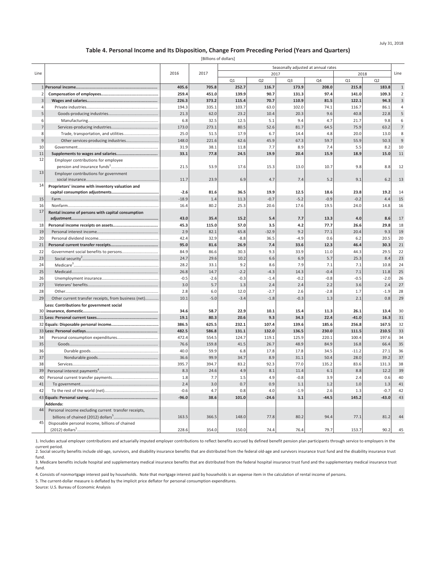#### **Table 4. Personal Income and Its Disposition, Change From Preceding Period (Years and Quarters)**

[Billions of dollars]

|                |                                                      |               |                | Seasonally adjusted at annual rates<br>2017<br>2017<br>2018 |             |                         |              |                 |              |                     |
|----------------|------------------------------------------------------|---------------|----------------|-------------------------------------------------------------|-------------|-------------------------|--------------|-----------------|--------------|---------------------|
| Line           |                                                      | 2016          |                |                                                             |             |                         |              |                 |              | Line                |
|                |                                                      | 405.6         |                | Q1<br>252.7                                                 | Q2<br>116.7 | Q <sub>3</sub><br>173.9 | Q4<br>208.0  | Q1<br>215.8     | Q2<br>183.8  | $\overline{1}$      |
| $\overline{2}$ |                                                      | 259.4         | 705.8<br>451.0 | 139.9                                                       | 90.7        | 131.3                   | 97.4         | 141.0           | 109.3        | $\overline{2}$      |
| $\overline{3}$ |                                                      | 226.3         | 373.2          | 115.4                                                       | 70.7        | 110.9                   | 81.5         | 122.1           | 94.3         | $\overline{3}$      |
| $\overline{4}$ |                                                      | 194.3         | 335.1          | 103.7                                                       | 63.0        | 102.0                   | 74.1         | 116.7           | 86.1         | $\overline{4}$      |
| 5              |                                                      | 21.3          | 62.0           | 23.2                                                        | 10.4        | 20.3                    | 9.6          | 40.8            | 22.8         | 5                   |
|                |                                                      |               |                |                                                             |             |                         |              |                 |              |                     |
| 6              |                                                      | 6.8           | 32.5           | 12.5<br>80.5                                                | 5.1<br>52.6 | 9.4<br>81.7             | 4.7          | 21.7            | 9.8<br>63.2  | 6<br>$\overline{7}$ |
| 8              |                                                      | 173.0<br>25.0 | 273.1<br>51.5  | 17.9                                                        | 6.7         | 14.4                    | 64.5         | 75.9<br>20.0    | 13.0         | 8                   |
| $\overline{9}$ | Trade, transportation, and utilities                 |               |                |                                                             |             |                         | 4.8          |                 |              | 9                   |
|                | Other services-producing industries                  | 148.0         | 221.6          | 62.6                                                        | 45.9        | 67.3                    | 59.7         | 55.9            | 50.3         |                     |
| 10             |                                                      | 31.9<br>33.1  | 38.1           | 11.8<br>24.5                                                | 7.7<br>19.9 | 8.9<br>20.4             | 7.4<br>15.9  | 5.5<br>18.9     | 8.2<br>15.0  | 10<br>11            |
| 11<br>12       | Employer contributions for employee                  |               | 77.8           |                                                             |             |                         |              |                 |              |                     |
|                |                                                      | 21.5          | 53.9           | 17.6                                                        | 15.3        | 13.0                    | 10.7         | 9.8             | 8.8          | 12                  |
| 13             |                                                      |               |                |                                                             |             |                         |              |                 |              |                     |
|                | Employer contributions for government                | 11.7          | 23.9           | 6.9                                                         | 4.7         | 7.4                     | 5.2          | 9.1             | 6.2          | 13                  |
| 14             |                                                      |               |                |                                                             |             |                         |              |                 |              |                     |
|                | Proprietors' income with inventory valuation and     | $-2.6$        | 81.6           | 36.5                                                        | 19.9        | 12.5                    | 18.6         | 23.8            | 19.2         | 14                  |
| 15             |                                                      | $-18.9$       | 1.4            | 11.3                                                        | $-0.7$      | $-5.2$                  | $-0.9$       | $-0.2$          | 4.4          | 15                  |
| 16             |                                                      | 16.4          | 80.2           | 25.3                                                        | 20.6        | 17.6                    | 19.5         | 24.0            | 14.8         | 16                  |
| 17             |                                                      |               |                |                                                             |             |                         |              |                 |              |                     |
|                | Rental income of persons with capital consumption    | 43.0          | 35.4           | 15.2                                                        | 5.4         | 7.7                     | 13.3         | 4.0             | 8.6          | 17                  |
| 18             |                                                      | 45.3          | 115.0          | 57.0                                                        | 3.5         | 4.2                     | 77.7         | 26.6            | 29.8         | 18                  |
| 19             |                                                      | 2.9           | 82.1           | 65.8                                                        | $-32.9$     | 9.2                     | 77.1         | 20.4            | 9.3          | 19                  |
| 20             |                                                      | 42.4          | 32.9           | $-8.8$                                                      | 36.5        | $-4.9$                  | 0.6          | 6.2             | 20.5         | 20                  |
| 21             |                                                      | 95.0          | 81.6           | 26.9                                                        | 7.4         | 33.6                    | 12.3         | 46.4            | 30.3         | 21                  |
| 22             |                                                      | 84.9          |                | 30.3                                                        |             | 33.9                    | 11.0         | 44.3            | 29.5         | 22                  |
|                |                                                      |               | 86.6           |                                                             | 9.3         |                         |              |                 |              |                     |
| 23             |                                                      | 24.7          | 29.6           | 10.2                                                        | 6.6         | 6.9                     | 5.7          | 25.3            | 8.4          | 23                  |
| 24             |                                                      | 28.2          | 33.1           | 9.2                                                         | 8.6         | 7.9                     | 7.1          | 7.1             | 10.8         | 24                  |
| 25             |                                                      | 26.8          | 14.7           | $-2.2$                                                      | $-4.3$      | 14.3                    | $-0.4$       | 7.1             | 11.8         | 25                  |
| 26             |                                                      | $-0.5$        | $-2.6$         | $-0.3$                                                      | $-1.4$      | $-0.2$                  | $-0.8$       | $-0.5$          | $-2.0$       | 26                  |
| 27             |                                                      | 3.0           | 5.7            | 1.3                                                         | 2.4         | 2.4                     | 2.2          | 3.6             | 2.4          | 27                  |
| 28             |                                                      | 2.8           | 6.0            | 12.0                                                        | $-2.7$      | 2.6                     | $-2.8$       | 1.7             | $-1.9$       | 28                  |
| 29             | Other current transfer receipts, from business (net) | 10.1          | $-5.0$         | $-3.4$                                                      | $-1.8$      | $-0.3$                  | 1.3          | 2.1             | 0.8          | 29                  |
| 30             | Less: Contributions for government social            |               |                |                                                             |             |                         |              |                 |              |                     |
|                |                                                      | 34.6          | 58.7<br>80.3   | 22.9<br>20.6                                                | 10.1<br>9.3 | 15.4<br>34.3            | 11.3<br>22.4 | 26.1<br>$-41.0$ | 13.4<br>16.3 | 30<br>31            |
|                |                                                      | 19.1          |                |                                                             |             |                         |              |                 |              |                     |
|                |                                                      | 386.5         | 625.5          | 232.1                                                       | 107.4       | 139.6                   | 185.6        | 256.8           | 167.5        | 32                  |
|                |                                                      | 482.5         | 586.8          | 131.1                                                       | 132.0       | 136.5                   | 230.0        | 111.5           | 210.5        | 33                  |
| 34             |                                                      | 472.4         | 554.5          | 124.7                                                       | 119.1       | 125.9                   | 220.1        | 100.4           | 197.6        | 34                  |
| 35             |                                                      | 76.6          | 159.8          | 41.5                                                        | 26.7        | 48.9                    | 84.9         | 16.8            | 66.4         | 35                  |
| 36             |                                                      | 40.0          | 59.9           | 6.8                                                         | 17.8        | 17.8                    | 34.5         | $-11.2$         | 27.1         | 36                  |
| 37             |                                                      | 36.6          | 99.9           | 34.7                                                        | 8.9         | 31.1                    | 50.4         | 28.0            | 39.2         | 37                  |
| 38             |                                                      | 395.7         | 394.7          | 83.2                                                        | 92.3        | 77.0                    | 135.2        | 83.6            | 131.3        | 38                  |
| 39             |                                                      | 8.3           | 24.6           | 4.9                                                         | 8.1         | 11.4                    | 6.1          | 8.8             | 12.2         | 39                  |
| 40             |                                                      | 1.8           | 7.7            | 1.5                                                         | 4.9         | $-0.8$                  | 3.9          | 2.4             | 0.6          | 40                  |
| 41             |                                                      | 2.4           | 3.0            | 0.7                                                         | 0.9         | 1.1                     | 1.2          | 1.0             | 1.3          | 41                  |
| 42             |                                                      | $-0.6$        | 4.7            | 0.8                                                         | 4.0         | $-1.9$                  | 2.6          | 1.3             | $-0.7$       | 42                  |
|                |                                                      | $-96.0$       | 38.6           | 101.0                                                       | $-24.6$     | 3.1                     | $-44.5$      | 145.2           | $-43.0$      | 43                  |
|                | Addenda:                                             |               |                |                                                             |             |                         |              |                 |              |                     |
| 44             | Personal income excluding current transfer receipts, |               |                |                                                             |             |                         |              |                 |              |                     |
|                |                                                      | 163.5         | 366.5          | 148.0                                                       | 77.8        | 80.2                    | 94.4         | 77.1            | 81.2         | 44                  |
| 45             | Disposable personal income, billions of chained      |               |                |                                                             |             |                         |              |                 |              |                     |
|                | $(2012)$ dollars <sup>5</sup> .                      | 228.6         | 354.0          | 150.0                                                       | 74.4        | 76.4                    | 79.7         | 153.7           | 90.2         | 45                  |

1. Includes actual employer contributions and actuarially imputed employer contributions to reflect benefits accrued by defined benefit pension plan participants through service to employers in the

current period.<br>2. Social security benefits include old-age, survivors, and disability insurance benefits that are distributed from the federal old-age and survivors insurance trust fund and the disability insurance trust

fund.<br>3. Medicare benefits include hospital and supplementary medical insurance benefits that are distributed from the federal hospital insurance trust fund and the supplementary medical insurance trust fund.

4. Consists of nonmortgage interest paid by households. Note that mortgage interest paid by households is an expense item in the calculation of rental income of persons.

5. The current-dollar measure is deflated by the implicit price deflator for personal consumption expenditures.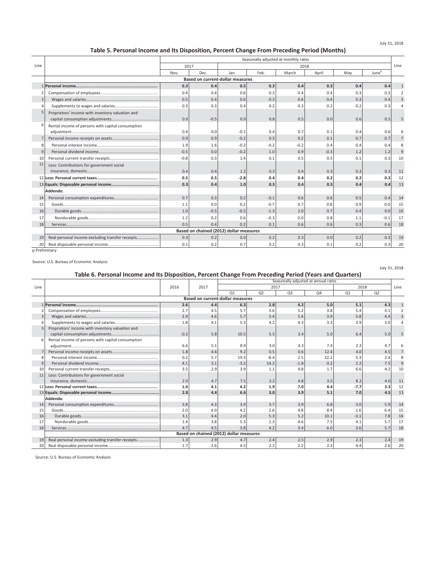# **Table 5. Personal Income and Its Disposition, Percent Change From Preceding Period (Months)**

|                 | Seasonally adjusted at monthly rates              |        |        |                                         |        |        |        |     |                   |      |
|-----------------|---------------------------------------------------|--------|--------|-----------------------------------------|--------|--------|--------|-----|-------------------|------|
| Line            |                                                   | 2017   |        |                                         |        | 2018   |        |     |                   | Line |
|                 |                                                   | Nov.   | Dec.   | Jan.                                    | Feb.   | March  | April  | May | June <sup>p</sup> |      |
|                 |                                                   |        |        | <b>Based on current-dollar measures</b> |        |        |        |     |                   |      |
|                 |                                                   | 0.3    | 0.4    | 0.5                                     | 0.3    | 0.4    | 0.3    | 0.4 | 0.4               |      |
|                 |                                                   | 0.4    | 0.4    | 0.6                                     | 0.3    | 0.4    | 0.4    | 0.3 | 0.3               |      |
| $\overline{3}$  |                                                   | 0.5    | 0.4    | 0.6                                     | 0.3    | 0.4    | 0.4    | 0.3 | 0.4               | 3    |
|                 |                                                   | 0.3    | 0.3    | 0.4                                     | 0.2    | 0.3    | 0.2    | 0.2 | 0.3               |      |
|                 | Proprietors' income with inventory valuation and  | 0.9    | $-0.5$ | 0.9                                     | 0.8    | 0.5    | 0.0    | 0.6 | 0.5               |      |
| 6               | Rental income of persons with capital consumption | 0.4    | 0.0    | $-0.1$                                  | 0.4    | 0.7    | 0.1    | 0.4 | 0.6               |      |
|                 |                                                   | 0.9    | 0.9    | $-0.2$                                  | 0.3    | 0.2    | 0.1    | 0.7 | 0.7               |      |
| 8               |                                                   | 1.9    | 1.6    | $-0.2$                                  | $-0.2$ | $-0.2$ | 0.4    | 0.4 | 0.4               |      |
| $\mathbf{q}$    |                                                   | $-0.5$ | 0.0    | $-0.2$                                  | 1.0    | 0.9    | $-0.3$ | 1.2 | 1.2               | 9    |
| 10              |                                                   | $-0.8$ | 0.3    | 1.4                                     | 0.1    | 0.5    | 0.5    | 0.1 | 0.3               | 10   |
| 11              | Less: Contributions for government social         | 0.4    | 0.4    | 1.2                                     | 0.3    | 0.4    | 0.3    | 0.3 | 0.3               | 11   |
|                 |                                                   | 0.5    | 0.5    | $-2.8$                                  | 0.4    | 0.4    | 0.2    | 0.2 | 0.3               | 12   |
|                 |                                                   | 0.3    | 0.4    | 1.0                                     | 0.3    | 0.4    | 0.3    | 0.4 | 0.4               | 13   |
|                 | Addenda:                                          |        |        |                                         |        |        |        |     |                   |      |
| 14              |                                                   | 0.7    | 0.3    | 0.2                                     | $-0.1$ | 0.6    | 0.6    | 0.5 | 0.4               | 14   |
| 15              |                                                   | 1.1    | 0.0    | 0.2                                     | $-0.7$ | 0.7    | 0.8    | 0.9 | 0.0               | 15   |
| 16              |                                                   | 1.0    | $-0.5$ | $-0.5$                                  | $-1.3$ | 2.0    | 0.7    | 0.4 | 0.0               | 16   |
| 17              |                                                   | 1.2    | 0.2    | 0.6                                     | $-0.3$ | 0.0    | 0.8    | 1.1 | $-0.1$            | 17   |
| 18              |                                                   | 0.5    | 0.4    | 0.2                                     | 0.1    | 0.6    | 0.6    | 0.3 | 0.6               | 18   |
|                 |                                                   |        |        | Based on chained (2012) dollar measures |        |        |        |     |                   |      |
| 19              | Real personal income excluding transfer receipts  | 0.3    | 0.2    | 0.0                                     | 0.2    | 0.3    | 0.0    | 0.2 | 0.3               | 19   |
| 20 <sup>1</sup> |                                                   | 0.1    | 0.2    | 0.7                                     | 0.2    | 0.3    | 0.1    | 0.2 | 0.3               | 20   |

p Preliminary

Source: U.S. Bureau of Economic Analysis

# **Table 6. Personal Income and Its Disposition, Percent Change From Preceding Period (Years and Quarters)**

July 31, 2018

|      | Table 6. Personal income and its Disposition, Percent Change From Preceding Period (Tears and Quarters) |        |                                         |        |                | Seasonally adjusted at annual rates |      |        |                |      |
|------|---------------------------------------------------------------------------------------------------------|--------|-----------------------------------------|--------|----------------|-------------------------------------|------|--------|----------------|------|
| Line |                                                                                                         | 2016   | 2017                                    |        |                | 2017                                |      | 2018   |                | Line |
|      |                                                                                                         |        |                                         | Q1     | Q <sub>2</sub> | Q <sub>3</sub>                      | Q4   | Q1     | Q <sub>2</sub> |      |
|      |                                                                                                         |        | <b>Based on current-dollar measures</b> |        |                |                                     |      |        |                |      |
|      |                                                                                                         | 2.6    | 4.4                                     | 6.3    | 2.8            | 4.2                                 | 5.0  | 5.1    | 4.3            |      |
|      |                                                                                                         | 2.7    | 4.5                                     | 5.7    | 3.6            | 5.2                                 | 3.8  | 5.4    | 4.1            |      |
| 3    |                                                                                                         | 2.9    | 4.6                                     | 5.7    | 3.4            | 5.4                                 | 3.9  | 5.8    | 4.4            |      |
|      |                                                                                                         | 1.8    | 4.1                                     | 5.3    | 4.2            | 4.3                                 | 3.3  | 3.9    | 3.0            |      |
|      | Proprietors' income with inventory valuation and                                                        |        |                                         |        |                |                                     |      |        |                |      |
|      |                                                                                                         | $-0.2$ | 5.8                                     | 10.5   | 5.5            | 3.4                                 | 5.0  | 6.4    | 5.0            |      |
|      | Rental income of persons with capital consumption                                                       |        |                                         |        |                |                                     |      |        |                |      |
|      |                                                                                                         | 6.6    | 5.1                                     | 8.9    | 3.0            | 4.3                                 | 7.4  | 2.2    | 4.7            |      |
|      |                                                                                                         | 1.8    | 4.6                                     | 9.2    | 0.5            | 0.6                                 | 12.4 | 4.0    | 4.5            |      |
|      |                                                                                                         | 0.2    | 5.7                                     | 19.3   | $-8.4$         | 2.5                                 | 22.2 | 5.3    | 2.4            |      |
| 9    |                                                                                                         | 4.1    | 3.1                                     | $-3.2$ | 14.2           | $-1.8$                              | 0.2  | 2.2    | 7.5            |      |
| 10   |                                                                                                         | 3.5    | 2.9                                     | 3.9    | 1.1            | 4.8                                 | 1.7  | 6.6    | 4.2            | 10   |
| 11   | Less: Contributions for government social                                                               |        |                                         |        |                |                                     |      |        |                |      |
|      |                                                                                                         | 2.9    | 4.7                                     | 7.5    | 3.2            | 4.8                                 | 3.5  | 8.2    | 4.0            | 11   |
|      |                                                                                                         | 1.0    | 4.1                                     | 4.2    | 1.9            | 7.0                                 | 4.4  | $-7.7$ | 3.3            | 12   |
|      |                                                                                                         | 2.8    | 4.4                                     | 6.6    | 3.0            | 3.9                                 | 5.1  | 7.0    | 4.5            | 13   |
|      | Addenda:                                                                                                |        |                                         |        |                |                                     |      |        |                |      |
| 14   |                                                                                                         | 3.8    | 4.3                                     | 3.9    | 3.7            | 3.9                                 | 6.8  | 3.0    | 5.9            | 14   |
| 15   |                                                                                                         | 2.0    | 4.0                                     | 4.2    | 2.6            | 4.8                                 | 8.4  | 1.6    | 6.4            | 15   |
|      |                                                                                                         | 3.1    |                                         |        | 5.3            |                                     |      | $-3.1$ |                | 16   |
| 16   |                                                                                                         |        | 4.4                                     | 2.0    |                | 5.2                                 | 10.1 |        | 7.8            |      |
| 17   |                                                                                                         | 1.4    | 3.8                                     | 5.3    | 1.3            | 4.6                                 | 7.5  | 4.1    | 5.7            | 17   |
| 18   |                                                                                                         | 4.7    | 4.5                                     | 3.8    | 4.2            | 3.4                                 | 6.0  | 3.6    | 5.7            | 18   |
|      |                                                                                                         |        | Based on chained (2012) dollar measures |        |                |                                     |      |        |                |      |
| 19   | Real personal income excluding transfer receipts                                                        | 1.3    | 2.9                                     | 4.7    | 2.4            | 2.5                                 | 2.9  | 2.3    | 2.4            | 19   |
| 20   |                                                                                                         | 1.7    | 2.6                                     | 4.5    | 2.2            | 2.2                                 | 2.3  | 4.4    | 2.6            | 20   |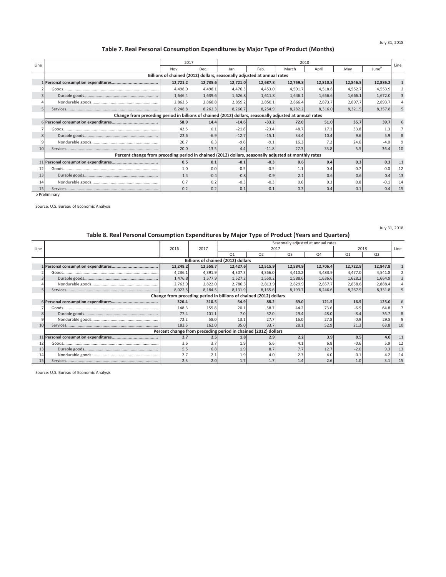# **Table 7. Real Personal Consumption Expenditures by Major Type of Product (Months)**

| Line |                                                                                                         | 2017                                                                    |          |          |          | 2018     |          |          |                   | Line |  |
|------|---------------------------------------------------------------------------------------------------------|-------------------------------------------------------------------------|----------|----------|----------|----------|----------|----------|-------------------|------|--|
|      |                                                                                                         | Nov.                                                                    | Dec.     | Jan.     | Feb.     | March    | April    | Mav      | June <sup>p</sup> |      |  |
|      |                                                                                                         | Billions of chained (2012) dollars, seasonally adjusted at annual rates |          |          |          |          |          |          |                   |      |  |
|      |                                                                                                         | 12,721.2                                                                | 12,735.6 | 12,721.0 | 12,687.8 | 12,759.8 | 12,810.8 | 12,846.5 | 12,886.2          |      |  |
|      |                                                                                                         | 4,498.0                                                                 | 4,498.1  | 4,476.3  | 4,453.0  | 4,501.7  | 4,518.8  | 4,552.7  | 4,553.9           |      |  |
|      |                                                                                                         | 1,646.4                                                                 | 1,639.6  | 1,626.8  | 1,611.8  | 1,646.1  | 1,656.6  | 1,666.1  | 1,672.0           |      |  |
|      |                                                                                                         | 2,862.5                                                                 | 2,868.8  | 2,859.2  | 2,850.1  | 2,866.4  | 2,873.7  | 2,897.7  | 2,893.7           |      |  |
|      |                                                                                                         | 8,248.8                                                                 | 8,262.3  | 8,266.7  | 8,254.9  | 8,282.2  | 8,316.0  | 8,321.5  | 8,357.8           |      |  |
|      | Change from preceding period in billions of chained (2012) dollars, seasonally adjusted at annual rates |                                                                         |          |          |          |          |          |          |                   |      |  |
|      |                                                                                                         | 58.9                                                                    | 14.4     | $-14.6$  | $-33.2$  | 72.0     | 51.0     | 35.7     | 39.7              |      |  |
|      |                                                                                                         | 42.5                                                                    | 0.1      | $-21.8$  | $-23.4$  | 48.7     | 17.1     | 33.8     | 1.3               |      |  |
| 8    |                                                                                                         | 22.6                                                                    | $-6.9$   | $-12.7$  | $-15.1$  | 34.4     | 10.4     | 9.6      | 5.9               |      |  |
|      |                                                                                                         | 20.7                                                                    | 6.3      | $-9.6$   | $-9.1$   | 16.3     | 7.2      | 24.0     | $-4.0$            |      |  |
| 10   |                                                                                                         | 20.0                                                                    | 13.5     | 4.4      | $-11.8$  | 27.3     | 33.8     | 5.5      | 36.4              | 10   |  |
|      | Percent change from preceding period in chained (2012) dollars, seasonally adjusted at monthly rates    |                                                                         |          |          |          |          |          |          |                   |      |  |
|      |                                                                                                         | 0.5                                                                     | 0.1      | $-0.1$   | $-0.3$   | 0.6      | 0.4      | 0.3      | 0.3               | 11   |  |
| 12   |                                                                                                         | 1.0                                                                     | 0.0      | $-0.5$   | $-0.5$   | 1.1      | 0.4      | 0.7      | 0.0               | 12   |  |
| 13   |                                                                                                         | 1.4                                                                     | $-0.4$   | $-0.8$   | $-0.9$   | 2.1      | 0.6      | 0.6      | 0.4               | 13   |  |
| 14   |                                                                                                         | 0.7                                                                     | 0.2      | $-0.3$   | $-0.3$   | 0.6      | 0.3      | 0.8      | $-0.1$            | 14   |  |
| 15   |                                                                                                         | 0.2                                                                     | 0.2      | 0.1      | $-0.1$   | 0.3      | 0.4      | 0.1      | 0.4               | 15   |  |

p Preliminary

Source: U.S. Bureau of Economic Analysis

# **Table 8. Real Personal Consumption Expenditures by Major Type of Product (Years and Quarters)**

July 31, 2018

|      | . while or rider receiver corrowing even experimented by major rights or riceway (rowing with specific |          |                                                                |                |                |                                     |                |                |                |      |  |  |  |
|------|--------------------------------------------------------------------------------------------------------|----------|----------------------------------------------------------------|----------------|----------------|-------------------------------------|----------------|----------------|----------------|------|--|--|--|
|      |                                                                                                        |          |                                                                |                |                | Seasonally adjusted at annual rates |                |                |                |      |  |  |  |
| Line |                                                                                                        | 2016     | 2017                                                           |                | 2017           |                                     |                |                | 2018           | Line |  |  |  |
|      |                                                                                                        |          |                                                                | Q <sub>1</sub> | Q <sub>2</sub> | Q <sub>3</sub>                      | Q <sub>4</sub> | Q <sub>1</sub> | Q <sub>2</sub> |      |  |  |  |
|      |                                                                                                        |          | Billions of chained (2012) dollars                             |                |                |                                     |                |                |                |      |  |  |  |
|      |                                                                                                        | 12,248.2 | 12,558.7                                                       | 12,427.6       | 12,515.9       | 12,584.9                            | 12,706.4       | 12,722.8       | 12,847.8       |      |  |  |  |
|      |                                                                                                        | 4,236.1  | 4,391.9                                                        | 4,307.3        | 4,366.0        | 4,410.2                             | 4,483.9        | 4,477.0        | 4,541.8        |      |  |  |  |
|      |                                                                                                        | 1,476.8  | 1,577.9                                                        | 1,527.2        | 1,559.2        | 1,588.6                             | 1,636.6        | 1,628.2        | 1,664.9        | 3    |  |  |  |
|      |                                                                                                        | 2,763.9  | 2,822.0                                                        | 2,786.3        | 2,813.9        | 2,829.9                             | 2,857.7        | 2,858.6        | 2,888.4        |      |  |  |  |
|      |                                                                                                        | 8,022.5  | 8,184.5                                                        | 8,131.9        | 8,165.6        | 8,193.7                             | 8,246.6        | 8,267.9        | 8,331.8        | 5    |  |  |  |
|      | Change from preceding period in billions of chained (2012) dollars                                     |          |                                                                |                |                |                                     |                |                |                |      |  |  |  |
|      |                                                                                                        | 326.4    | 310.5                                                          | 54.9           | 88.2           | 69.0                                | 121.5          | 16.5           | 125.0          | 6    |  |  |  |
|      |                                                                                                        | 148.3    | 155.8                                                          | 20.1           | 58.7           | 44.2                                | 73.6           | $-6.9$         | 64.8           |      |  |  |  |
|      |                                                                                                        | 77.4     | 101.1                                                          | 7.0            | 32.0           | 29.4                                | 48.0           | $-8.4$         | 36.7           | 8    |  |  |  |
|      |                                                                                                        | 72.2     | 58.0                                                           | 13.1           | 27.7           | 16.0                                | 27.8           | 0.9            | 29.8           |      |  |  |  |
|      |                                                                                                        | 182.5    | 162.0                                                          | 35.0           | 33.7           | 28.1                                | 52.9           | 21.3           | 63.8           | 10   |  |  |  |
|      |                                                                                                        |          | Percent change from preceding period in chained (2012) dollars |                |                |                                     |                |                |                |      |  |  |  |
|      |                                                                                                        | 2.7      | 2.5                                                            | 1.8            | 2.9            | 2.2                                 | 3.9            | 0.5            | 4.0            | 11   |  |  |  |
|      |                                                                                                        | 3.6      | 3.7                                                            | 1.9            | 5.6            | 4.1                                 | 6.8            | $-0.6$         | 5.9            | 12   |  |  |  |
| 13   |                                                                                                        | 5.5      | 6.8                                                            | 1.9            | 8.7            | 7.7                                 | 12.7           | $-2.0$         | 9.3            | 13   |  |  |  |
| 14   |                                                                                                        | 2.7      | 2.1                                                            | 1.9            | 4.0            | 2.3                                 | 4.0            | 0.1            |                | 14   |  |  |  |
|      |                                                                                                        | 2.3      | 2.0                                                            | 1.7            |                | 1.4                                 | 2.6            | 1.0            |                | 15   |  |  |  |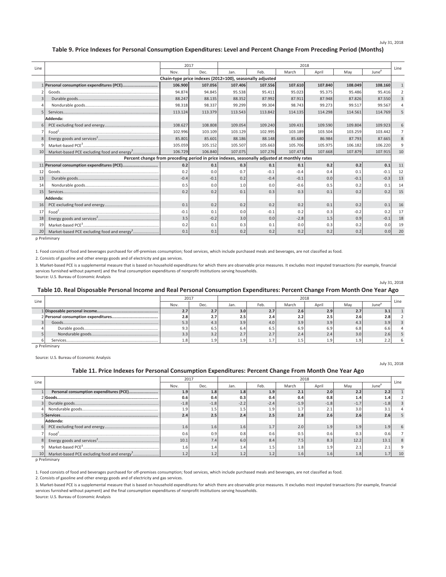July 31, 2018

#### **Table 9. Price Indexes for Personal Consumption Expenditures: Level and Percent Change From Preceding Period (Months)**

| Line     |                                                                                             | 2017                                                     |         |         |         | 2018    |         |         |                   | Line           |
|----------|---------------------------------------------------------------------------------------------|----------------------------------------------------------|---------|---------|---------|---------|---------|---------|-------------------|----------------|
|          |                                                                                             | Nov.                                                     | Dec.    | Jan.    | Feb.    | March   | April   | May     | June <sup>p</sup> |                |
|          |                                                                                             | Chain-type price indexes (2012=100), seasonally adjusted |         |         |         |         |         |         |                   |                |
|          | 1 Personal consumption expenditures (PCE)                                                   | 106.900                                                  | 107.056 | 107.406 | 107.556 | 107.610 | 107.840 | 108.049 | 108.160           | $\mathbf{1}$   |
|          |                                                                                             | 94.874                                                   | 94.845  | 95.538  | 95.411  | 95.023  | 95.375  | 95.486  | 95.416            | $\overline{2}$ |
| 3        |                                                                                             | 88.247                                                   | 88.135  | 88.352  | 87.992  | 87.911  | 87.948  | 87.826  | 87.550            | $\overline{3}$ |
| $\Delta$ |                                                                                             | 98.318                                                   | 98.337  | 99.299  | 99.304  | 98.743  | 99.273  | 99.517  | 99.567            |                |
| 5        |                                                                                             | 113.124                                                  | 113.379 | 113.543 | 113.842 | 114.135 | 114.298 | 114.561 | 114.769           |                |
|          | Addenda:                                                                                    |                                                          |         |         |         |         |         |         |                   |                |
| 6        |                                                                                             | 108.627                                                  | 108,808 | 109.054 | 109,240 | 109.431 | 109.590 | 109.804 | 109.923           | 6              |
| 7        |                                                                                             | 102.996                                                  | 103.109 | 103.129 | 102.995 | 103.189 | 103.504 | 103.259 | 103.442           | $\overline{7}$ |
|          |                                                                                             | 85.801                                                   | 85.601  | 88.186  | 88.148  | 85.680  | 86.984  | 87.793  | 87.665            | $\overline{8}$ |
|          |                                                                                             | 105.059                                                  | 105.152 | 105.507 | 105.663 | 105.706 | 105.975 | 106.182 | 106.220           | 9              |
| 10       | Market-based PCE excluding food and energy <sup>3</sup>                                     | 106.729                                                  | 106,840 | 107.075 | 107.276 | 107.473 | 107.668 | 107.879 | 107.915           | 10             |
|          | Percent change from preceding period in price indexes, seasonally adjusted at monthly rates |                                                          |         |         |         |         |         |         |                   |                |
|          | 11 Personal consumption expenditures (PCE)                                                  | 0.2                                                      | 0.1     | 0.3     | 0.1     | 0.1     | 0.2     | 0.2     | 0.1               | 11             |
| 12       |                                                                                             | 0.2                                                      | 0.0     | 0.7     | $-0.1$  | $-0.4$  | 0.4     | 0.1     | $-0.1$            | 12             |
| 13       |                                                                                             | $-0.4$                                                   | $-0.1$  | 0.2     | $-0.4$  | $-0.1$  | 0.0     | $-0.1$  | $-0.3$            | 13             |
| 14       |                                                                                             | 0.5                                                      | 0.0     | 1.0     | 0.0     | $-0.6$  | 0.5     | 0.2     | 0.1               | 14             |
| 15       |                                                                                             | 0.2                                                      | 0.2     | 0.1     | 0.3     | 0.3     | 0.1     | 0.2     | 0.2               | 15             |
|          | Addenda:                                                                                    |                                                          |         |         |         |         |         |         |                   |                |
| 16       |                                                                                             | 0.1                                                      | 0.2     | 0.2     | 0.2     | 0.2     | 0.1     | 0.2     | 0.1               | 16             |
| 17       |                                                                                             | $-0.1$                                                   | 0.1     | 0.0     | $-0.1$  | 0.2     | 0.3     | $-0.2$  | 0.2               | 17             |
| 18       |                                                                                             | 3.5                                                      | $-0.2$  | 3.0     | 0.0     | $-2.8$  | 1.5     | 0.9     | $-0.1$            | 18             |
| 19       |                                                                                             | 0.2                                                      | 0.1     | 0.3     | 0.1     | 0.0     | 0.3     | 0.2     | 0.0               | 19             |
| 20       | Market-based PCE excluding food and energy <sup>3</sup>                                     | 0.1                                                      | 0.1     | 0.2     | 0.2     | 0.2     | 0.2     | 0.2     | 0.0               | 20             |

p Preliminary

1. Food consists of food and beverages purchased for off-premises consumption; food services, which include purchased meals and beverages, are not classified as food.

2. Consists of gasoline and other energy goods and of electricity and gas services.

Source: U.S. Bureau of Economic Analysis 3. Market-based PCE is a supplemental measure that is based on household expenditures for which there are observable price measures. It excludes most imputed transactions (for example, financial services furnished without payment) and the final consumption expenditures of nonprofit institutions serving households.

#### **Table 10. Real Disposable Personal Income and Real Personal Consumption Expenditures: Percent Change From Month One Year Ago**

|      |      | 2018<br>2017 |      |      |       |       |            |       |      |
|------|------|--------------|------|------|-------|-------|------------|-------|------|
| Line | Nov. | Dec.         | Jan. | Feb. | March | April | Mav        | June' | Line |
|      | 2.7  | 2.7          | 3.0  | 2.7  | 2.6   | 2.9   | $\epsilon$ |       |      |
|      | 2.8  | 2.7          | 2.5  | 2.4  | 2.2   | 2.5   | 2.6        |       |      |
|      | 5.3  | 4.3          | 3.9  | 4.0  | 3.9   | 3.9   | 4.3        |       |      |
|      | 9.3  | 6.5          | 6.4  | 6.5  | 6.9   | 6.9   | 6.8        |       |      |
|      | 3.3  | 3.2          | 2.7  | 2.7  | 2.4   | 2.4   | 3.0        | 4.6   |      |
|      | 1.8  | 1.9          | 1.9  |      |       | 1.9'  |            |       |      |

p Preliminary

Source: U.S. Bureau of Economic Analysis

#### **Table 11. Price Indexes for Personal Consumption Expenditures: Percent Change From Month One Year Ago**

July 31, 2018

July 31, 2018

|      |                                                         | 2017   |        | 2018   |        |               |        |        |                   |      |  |  |  |
|------|---------------------------------------------------------|--------|--------|--------|--------|---------------|--------|--------|-------------------|------|--|--|--|
| Line |                                                         | Nov.   | Dec.   | Jan.   | Feb.   | March         | April  | May    | June <sup>P</sup> | Line |  |  |  |
|      | Personal consumption expenditures (PCE)                 | 1.9    | 1.8    | 1.8    | 1.9'   | 2.1           | 2.0    | 2.2    | 2.2               |      |  |  |  |
|      |                                                         | 0.6    | 0.4    | 0.3    | 0.4    | 0.4           | 0.8    | 1.4    |                   |      |  |  |  |
|      |                                                         | $-1.8$ | $-1.8$ | $-2.2$ | $-2.4$ | $-1.9$        | $-1.8$ | $-1.7$ | $-1.8$            |      |  |  |  |
|      |                                                         | 1.9    | 1.5    | 1.5    | 1.9    |               | د      | 3.0    |                   |      |  |  |  |
|      |                                                         | 2.4    | 2.5    | 2.4    | 2.5    | 2.8           | 2.6    | 2.6    | 2.6               |      |  |  |  |
|      | Addenda:                                                |        |        |        |        |               |        |        |                   |      |  |  |  |
|      |                                                         | 1.6    | 1.6    | 1.6    | 1.7    | 2.0           | 1.9    | 1.9    | 1.9               |      |  |  |  |
|      | Food <sup>+</sup> .                                     | 0.6    | 0.9    | 0.8    | 0.6    | 0.5           | 0.6    | 0.3    | 0.6               |      |  |  |  |
|      |                                                         | 10.1   | 7.4    | 6.0    | 8.4    | 7.5           | 8.3    | 12.2   | 13.1              |      |  |  |  |
|      |                                                         | 1.6    | 1.4    | 1.4    | 1.5    | 1.8           | 1.9    | ۷.,    |                   |      |  |  |  |
|      | Market-based PCE excluding food and energy <sup>3</sup> |        |        | 1.2    |        | $4.6^{\circ}$ | 1.6'   | 1.8    |                   | 10   |  |  |  |

p Preliminary

1. Food consists of food and beverages purchased for off-premises consumption; food services, which include purchased meals and beverages, are not classified as food.

2. Consists of gasoline and other energy goods and of electricity and gas services.

3. Market-based PCE is a supplemental measure that is based on household expenditures for which there are observable price measures. It excludes most imputed transactions (for example, financial services furnished without payment) and the final consumption expenditures of nonprofit institutions serving households.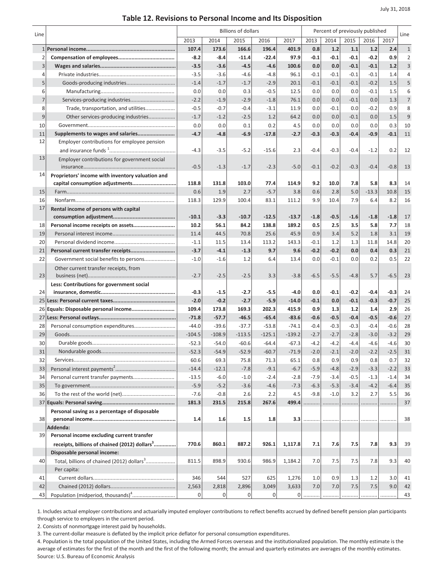# **Table 12. Revisions to Personal Income and Its Disposition**

| Line           |                                                           |                  |                  | <b>Billions of dollars</b> |                  |                   | Percent of previously published |               | Line             |                  |                  |                |
|----------------|-----------------------------------------------------------|------------------|------------------|----------------------------|------------------|-------------------|---------------------------------|---------------|------------------|------------------|------------------|----------------|
|                |                                                           | 2013             | 2014             | 2015                       | 2016             | 2017              | 2013                            | 2014          | 2015             | 2016             | 2017             |                |
|                |                                                           | 107.4            | 173.6            | 166.6                      | 196.4            | 401.9             | 0.8                             | 1.2           | 1.1              | 1.2              | 2.4              | $1\,$          |
| $\overline{2}$ |                                                           | $-8.2$           | $-8.4$           | $-11.4$                    | $-22.4$          | 97.9              | $-0.1$                          | $-0.1$        | $-0.1$           | $-0.2$           | 0.9              | $\overline{2}$ |
| 3              |                                                           | $-3.5$           | $-3.6$           | $-4.5$                     | $-4.6$           | 100.6             | 0.0                             | 0.0           | $-0.1$           | $-0.1$           | 1.2              | $\overline{3}$ |
| 4              |                                                           | $-3.5$           | $-3.6$           | $-4.6$                     | $-4.8$           | 96.1              | $-0.1$                          | $-0.1$        | $-0.1$           | $-0.1$           | 1.4              | $\overline{4}$ |
| 5              |                                                           | $-1.4$           | $-1.7$           | $-1.7$                     | $-2.9$           | 20.1              | $-0.1$                          | $-0.1$        | $-0.1$           | $-0.2$           | 1.5              | 5              |
| 6              |                                                           | 0.0              | 0.0              | 0.3                        | $-0.5$           | 12.5              | 0.0                             | 0.0           | 0.0              | $-0.1$           | 1.5              | 6              |
| $\overline{7}$ | Services-producing industries                             | $-2.2$           | $-1.9$           | $-2.9$                     | $-1.8$           | 76.1              | 0.0                             | 0.0           | $-0.1$           | 0.0              | 1.3              | $\overline{7}$ |
| 8              | Trade, transportation, and utilities                      | $-0.5$           | $-0.7$           | $-0.4$                     | $-3.1$           | 11.9              | 0.0                             | $-0.1$        | 0.0              | $-0.2$           | 0.9              | 8              |
| 9              | Other services-producing industries                       | $-1.7$           | $-1.2$           | $-2.5$                     | 1.2              | 64.2              | 0.0                             | 0.0           | $-0.1$           | 0.0              | 1.5              | 9              |
| 10             |                                                           | 0.0              | 0.0              | 0.1                        | 0.2              | 4.5               | 0.0                             | 0.0           | 0.0              | 0.0              | 0.3              | 10             |
| 11             | Supplements to wages and salaries                         | $-4.7$           | $-4.8$           | $-6.9$                     | $-17.8$          | $-2.7$            | $-0.3$                          | $-0.3$        | $-0.4$           | $-0.9$           | $-0.1$           | 11             |
| 12             | Employer contributions for employee pension               |                  |                  |                            |                  |                   |                                 |               |                  |                  |                  |                |
|                |                                                           | $-4.3$           | $-3.5$           | $-5.2$                     | $-15.6$          | 2.3               | $-0.4$                          | $-0.3$        | $-0.4$           | $-1.2$           | 0.2              | 12             |
| 13             | Employer contributions for government social              |                  |                  |                            |                  |                   |                                 |               |                  |                  |                  |                |
|                |                                                           | $-0.5$           | $-1.3$           | $-1.7$                     | $-2.3$           | $-5.0$            | $-0.1$                          | $-0.2$        | $-0.3$           | $-0.4$           | $-0.8$           | 13             |
| 14             | Proprietors' income with inventory valuation and          |                  |                  |                            |                  |                   |                                 |               |                  |                  |                  |                |
|                | capital consumption adjustments                           | 118.8            | 131.8            | 103.0                      | 77.4             | 114.9             | 9.2                             | 10.0          | 7.8              | 5.8              | 8.3              | 14             |
| 15             |                                                           | 0.6              | 1.9              | 2.7                        | $-5.7$           | 3.8               | 0.6                             | 2.8           | 5.0              | $-13.3$          | 10.8             | 15             |
| 16             |                                                           | 118.3            | 129.9            | 100.4                      | 83.1             | 111.2             | 9.9                             | 10.4          | 7.9              | 6.4              | 8.2              | 16             |
| 17             | Rental income of persons with capital                     |                  |                  |                            |                  |                   |                                 |               |                  |                  |                  |                |
|                |                                                           | $-10.1$          | $-3.3$           | $-10.7$                    | $-12.5$          | $-13.7$           | $-1.8$                          | $-0.5$        | $-1.6$           | $-1.8$           | $-1.8$           | 17             |
| 18             | Personal income receipts on assets                        | 10.2             | 56.1             | 84.2                       | 138.8            | 189.2             | 0.5                             | 2.5           | 3.5              | 5.8              | 7.7              | 18             |
| 19             |                                                           | 11.4             | 44.5             | 70.8                       | 25.6             | 45.9              | 0.9                             | 3.4           | 5.2              | 1.8              | 3.1              | 19             |
| 20             |                                                           | $-1.1$           | 11.5             | 13.4                       | 113.2            | 143.3             | $-0.1$                          | 1.2           | 1.3              | 11.8             | 14.8             | 20             |
| 21             | Personal current transfer receipts                        | $-3.7$           | $-4.1$           | $-1.3$                     | 9.7              | 9.6               | $-0.2$                          | $-0.2$        | 0.0              | 0.4              | 0.3              | 21             |
| 22             | Government social benefits to persons                     | $-1.0$           | $-1.6$           | 1.2                        | 6.4              | 13.4              | 0.0                             | $-0.1$        | 0.0              | 0.2              | 0.5              | 22             |
|                | Other current transfer receipts, from                     |                  |                  |                            |                  |                   |                                 |               |                  |                  |                  |                |
| 23             |                                                           | $-2.7$           | $-2.5$           | $-2.5$                     | 3.3              | $-3.8$            | $-6.5$                          | $-5.5$        | $-4.8$           | 5.7              | $-6.5$           | 23             |
|                | Less: Contributions for government social                 |                  |                  |                            |                  |                   |                                 |               |                  |                  |                  |                |
| 24             |                                                           | $-0.3$<br>$-2.0$ | $-1.5$<br>$-0.2$ | $-2.7$<br>$-2.7$           | $-5.5$<br>$-5.9$ | $-4.0$<br>$-14.0$ | 0.0<br>$-0.1$                   | $-0.1$<br>0.0 | $-0.2$<br>$-0.1$ | $-0.4$<br>$-0.3$ | $-0.3$<br>$-0.7$ | 24<br>25       |
| 26             |                                                           | 109.4            | 173.8            | 169.3                      | 202.3            | 415.9             | 0.9                             | 1.3           | 1.2              | 1.4              | 2.9              | 26             |
| 27             |                                                           | $-71.8$          | $-57.7$          | $-46.5$                    | $-65.4$          | $-83.6$           | $-0.6$                          | $-0.5$        | $-0.4$           | $-0.5$           | $-0.6$           | 27             |
| 28             |                                                           | $-44.0$          | $-39.6$          | $-37.7$                    | $-53.8$          | $-74.1$           | $-0.4$                          | $-0.3$        | $-0.3$           | $-0.4$           | $-0.6$           | 28             |
| 29             |                                                           | $-104.5$         | $-108.9$         | $-113.5$                   | $-125.1$         | $-139.2$          | $-2.7$                          | $-2.7$        | $-2.8$           | $-3.0$           | $-3.2$           | 29             |
| 30             |                                                           | $-52.3$          | $-54.0$          | $-60.6$                    | $-64.4$          | $-67.3$           | $-4.2$                          | $-4.2$        | $-4.4$           | $-4.6$           | $-4.6$           | 30             |
| 31             | Nondurable goods                                          | $-52.3$          | $-54.9$          | $-52.9$                    | $-60.7$          | $-71.9$           | $-2.0$                          | $-2.1$        | $-2.0$           | $-2.2$           | $-2.5$           | 31             |
| 32             |                                                           | 60.6             | 69.3             | 75.8                       | 71.3             | 65.1              | 0.8                             | 0.9           | 0.9              | 0.8              | 0.7              | 32             |
| 33             |                                                           | $-14.4$          | $-12.1$          | $-7.8$                     | $-9.1$           | $-6.7$            | $-5.9$                          | $-4.8$        | $-2.9$           | $-3.3$           | $-2.2$           | 33             |
| 34             | Personal current transfer payments                        | $-13.5$          | $-6.0$           | $-1.0$                     | $-2.4$           | $-2.8$            | $-7.9$                          | $-3.4$        | $-0.5$           | $-1.3$           | $-1.4$           | 34             |
| 35             |                                                           | $-5.9$           | $-5.2$           | $-3.6$                     | $-4.6$           | $-7.3$            | $-6.3$                          | $-5.3$        | $-3.4$           | $-4.2$           | $-6.4$           | 35             |
| 36             |                                                           | $-7.6$           | $-0.8$           | 2.6                        | 2.2              | 4.5               | $-9.8$                          | $-1.0$        | 3.2              | 2.7              | 5.5              | 36             |
|                |                                                           | 181.3            | 231.5            | 215.8                      | 267.6            | 499.4             | .                               | .             | .                | .                | .                | 37             |
|                | Personal saving as a percentage of disposable             |                  |                  |                            |                  |                   |                                 |               |                  |                  |                  |                |
| 38             |                                                           | 1.4              | 1.6              | 1.5                        | 1.8              | 3.3               |                                 | .             | .                | .                |                  | 38             |
|                | Addenda:                                                  |                  |                  |                            |                  |                   |                                 |               |                  |                  |                  |                |
| 39             | Personal income excluding current transfer                |                  |                  |                            |                  |                   |                                 |               |                  |                  |                  |                |
|                | receipts, billions of chained (2012) dollars <sup>3</sup> | 770.6            | 860.1            | 887.2                      | 926.1            | 1,117.8           | 7.1                             | 7.6           | 7.5              | 7.8              | 9.3              | 39             |
|                | Disposable personal income:                               |                  |                  |                            |                  |                   |                                 |               |                  |                  |                  |                |
| 40             | Total, billions of chained (2012) dollars <sup>3</sup>    | 811.5            | 898.9            | 930.6                      | 986.9            | 1,184.2           | 7.0                             | 7.5           | 7.5              | 7.8              | 9.3              | 40             |
|                | Per capita:                                               |                  |                  |                            |                  |                   |                                 |               |                  |                  |                  |                |
| 41             |                                                           | 346              | 544              | 527                        | 625              | 1,276             | 1.0                             | 0.9           | 1.3              | 1.2              | 3.0              | 41             |
| 42             |                                                           | 2,563            | 2,818            | 2,896                      | 3,049            | 3,633             | 7.0                             | 7.0           | 7.5              | 7.5              | 9.0              | 42             |
| 43             |                                                           | 0                | 0                | 0                          | 0                | 0                 |                                 |               |                  | .                | .                | 43             |

1. Includes actual employer contributions and actuarially imputed employer contributions to reflect benefits accrued by defined benefit pension plan participants through service to employers in the current period.

2. Consists of nonmortgage interest paid by households.

3. The current-dollar measure is deflated by the implicit price deflator for personal consumption expenditures.

4. Population is the total population of the United States, including the Armed Forces overseas and the institutionalized population. The monthly estimate is the average of estimates for the first of the month and the first of the following month; the annual and quarterly estimates are averages of the monthly estimates. Source: U.S. Bureau of Economic Analysis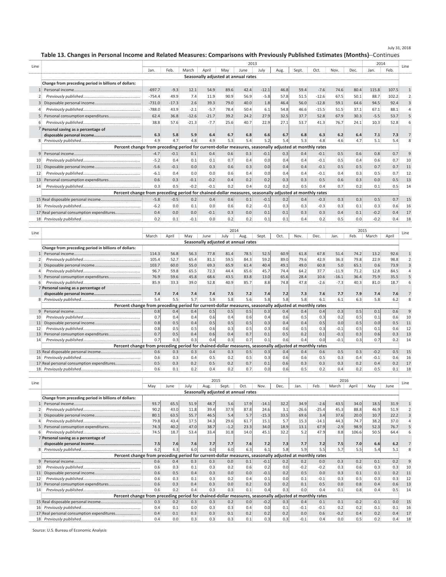July 31, 2018

**Table 13. Changes in Personal Income and Related Measures: Comparisons with Previously Published Estimates (Months)**--Continues

| 2013<br>Line<br>Feb.<br>April<br>Oct.<br>March<br>May<br>July<br>Sept.<br>Nov.<br>Dec.<br>Jan.<br>June<br>Aug.<br>Jan.<br>Seasonally adjusted at annual rates<br>Change from preceding period in billions of dollars:<br>$-697.7$<br>$-9.3$<br>54.9<br>89.6<br>12.1<br>42.4<br>$-12.1$<br>46.8<br>59.4<br>$-7.6$<br>74.6<br>80.4<br>115.8<br>$-754.4$<br>7.4<br>49.9<br>90.9<br>56.9<br>$-12.6$<br>67.5<br>50.1<br>88.7<br>11.9<br>$-5.8$<br>57.8<br>51.5<br>$-731.0$<br>2.6<br>39.3<br>79.0<br>1.8<br>56.0<br>$-12.8$<br>59.1<br>64.6<br>$-17.3$<br>40.0<br>46.4<br>94.5<br>$-788.0$<br>$-15.5$<br>43.9<br>$-2.1$<br>$-5.7$<br>78.4<br>50.4<br>6.1<br>54.8<br>46.6<br>51.5<br>37.1<br>67.1 | 2014<br>Line<br>Feb.<br>107.5<br>102.2<br>92.4<br>3<br>88.1<br>53.7 |
|---------------------------------------------------------------------------------------------------------------------------------------------------------------------------------------------------------------------------------------------------------------------------------------------------------------------------------------------------------------------------------------------------------------------------------------------------------------------------------------------------------------------------------------------------------------------------------------------------------------------------------------------------------------------------------------------|---------------------------------------------------------------------|
|                                                                                                                                                                                                                                                                                                                                                                                                                                                                                                                                                                                                                                                                                             |                                                                     |
|                                                                                                                                                                                                                                                                                                                                                                                                                                                                                                                                                                                                                                                                                             |                                                                     |
|                                                                                                                                                                                                                                                                                                                                                                                                                                                                                                                                                                                                                                                                                             |                                                                     |
|                                                                                                                                                                                                                                                                                                                                                                                                                                                                                                                                                                                                                                                                                             |                                                                     |
|                                                                                                                                                                                                                                                                                                                                                                                                                                                                                                                                                                                                                                                                                             |                                                                     |
|                                                                                                                                                                                                                                                                                                                                                                                                                                                                                                                                                                                                                                                                                             |                                                                     |
|                                                                                                                                                                                                                                                                                                                                                                                                                                                                                                                                                                                                                                                                                             |                                                                     |
|                                                                                                                                                                                                                                                                                                                                                                                                                                                                                                                                                                                                                                                                                             |                                                                     |
| 62.4<br>39.2<br>36.8<br>$-12.6$<br>$-21.7$<br>27.9<br>32.5<br>37.7<br>52.8<br>67.9<br>30.3<br>$-5.5$<br>24.2                                                                                                                                                                                                                                                                                                                                                                                                                                                                                                                                                                                |                                                                     |
| 38.8<br>$-7.7$<br>57.6<br>$-21.3$<br>25.6<br>40.7<br>22.9<br>27.1<br>53.7<br>41.3<br>76.7<br>24.1<br>10.3                                                                                                                                                                                                                                                                                                                                                                                                                                                                                                                                                                                   | 52.8                                                                |
| 7 Personal saving as a percentage of                                                                                                                                                                                                                                                                                                                                                                                                                                                                                                                                                                                                                                                        |                                                                     |
| 6.3<br>5.8<br>6.4<br>5.9<br>6.4<br>6.7<br>6.8<br>6.6<br>6.7<br>6.8<br>6.3<br>6.2<br>7.1                                                                                                                                                                                                                                                                                                                                                                                                                                                                                                                                                                                                     | 7.3<br>7                                                            |
| 4.9<br>4.8<br>5.3<br>4.7<br>4.9<br>5.4<br>5.2<br>5.4<br>5.3<br>4.8<br>4.7<br>4.6                                                                                                                                                                                                                                                                                                                                                                                                                                                                                                                                                                                                            | 5.1<br>5.4                                                          |
| Percent change from preceding period for current-dollar measures, seasonally adjusted at monthly rates                                                                                                                                                                                                                                                                                                                                                                                                                                                                                                                                                                                      |                                                                     |
| 0.4<br>0.6<br>0.3<br>0.5<br>0.6<br>$-0.1$<br>0.1<br>$-0.1$<br>0.3<br>0.4<br>$-0.1$<br>$\mathbf{q}$<br>$-4.7$                                                                                                                                                                                                                                                                                                                                                                                                                                                                                                                                                                                | 0.8<br>$\mathbf{q}$<br>0.7                                          |
| $-5.2$<br>$-0.1$<br>0.5<br>0.4<br>0.1<br>0.1<br>0.7<br>0.4<br>0.0<br>0.4<br>0.4<br>10<br>0.4                                                                                                                                                                                                                                                                                                                                                                                                                                                                                                                                                                                                | 10<br>0.6<br>0.7                                                    |
| $-5.6$<br>$-0.1$<br>0.0<br>0.3<br>0.6<br>0.3<br>0.4<br>$-0.1$<br>0.5<br>0.7<br>0.0<br>0.4<br>0.5<br>11                                                                                                                                                                                                                                                                                                                                                                                                                                                                                                                                                                                      | 11<br>0.7                                                           |
| $-6.1$<br>$-0.1$<br>0.4<br>0.4<br>0.0<br>0.0<br>0.6<br>0.4<br>0.4<br>0.3<br>0.5<br>12<br>0.0<br>0.4                                                                                                                                                                                                                                                                                                                                                                                                                                                                                                                                                                                         | 12<br>0.7                                                           |
| 0.6<br>$-0.1$<br>0.4<br>0.2<br>0.3<br>0.5<br>0.6<br>0.3<br>0.3<br>$-0.2$<br>0.2<br>0.3<br>13                                                                                                                                                                                                                                                                                                                                                                                                                                                                                                                                                                                                | 13<br>0.0<br>0.5                                                    |
| 0.3<br>0.2<br>0.4<br>0.7<br>0.5<br>$-0.2$<br>$-0.1$<br>0.4<br>0.2<br>0.2<br>0.1<br>0.2<br>0.5<br>14                                                                                                                                                                                                                                                                                                                                                                                                                                                                                                                                                                                         | 14<br>0.5                                                           |
| Percent change from preceding period for chained-dollar measures, seasonally adjusted at monthly rates                                                                                                                                                                                                                                                                                                                                                                                                                                                                                                                                                                                      |                                                                     |
| $-5.8$<br>$-0.5$<br>0.3<br>0.2<br>0.6<br>$-0.1$<br>0.3<br>0.4<br>0.1<br>0.2<br>0.4<br>$-0.3$                                                                                                                                                                                                                                                                                                                                                                                                                                                                                                                                                                                                | 0.5<br>15<br>0.7                                                    |
| $-6.2$<br>0.1<br>0.1<br>$-0.1$<br>$-0.3$<br>0.3<br>0.3<br>0.0<br>0.0<br>0.6<br>0.2<br>0.3<br>0.3<br>16                                                                                                                                                                                                                                                                                                                                                                                                                                                                                                                                                                                      | 16<br>0.6                                                           |
| 17 Real personal consumption expenditures<br>0.4<br>0.0<br>$-0.1$<br>0.3<br>0.0<br>0.1<br>0.3<br>0.0<br>0.1<br>0.3<br>0.4<br>0.1<br>$-0.2$                                                                                                                                                                                                                                                                                                                                                                                                                                                                                                                                                  | 17<br>0.4                                                           |
| 0.2<br>0.2<br>0.2<br>$-0.2$<br>0.1<br>$-0.1$<br>0.0<br>0.2<br>0.1<br>0.1<br>0.4<br>0.5<br>0.0                                                                                                                                                                                                                                                                                                                                                                                                                                                                                                                                                                                               | 18<br>0.4                                                           |

| Line         |                                                                                                        |       |       |      |      |                                     |      | Line  |      |      |        |         |      |        |       |    |
|--------------|--------------------------------------------------------------------------------------------------------|-------|-------|------|------|-------------------------------------|------|-------|------|------|--------|---------|------|--------|-------|----|
|              |                                                                                                        | March | April | Mav  | June | July                                | Aug. | Sept. | Oct. | Nov. | Dec.   | Jan.    | Feb. | March  | April |    |
|              |                                                                                                        |       |       |      |      | Seasonally adjusted at annual rates |      |       |      |      |        |         |      |        |       |    |
|              | Change from preceding period in billions of dollars:                                                   |       |       |      |      |                                     |      |       |      |      |        |         |      |        |       |    |
|              |                                                                                                        | 114.3 | 56.8  | 56.3 | 77.8 | 81.4                                | 78.5 | 52.5  | 60.9 | 61.8 | 67.8   | 51.4    | 74.2 | 13.2   | 92.6  |    |
|              |                                                                                                        | 105.4 | 52.7  | 65.4 | 81.1 | 59.5                                | 84.3 | 59.2  | 89.0 | 79.6 | 42.9   | 36.3    | 79.8 | 22.9   | 98.8  |    |
|              |                                                                                                        | 103.7 | 60.0  | 55.0 | 69.3 | 65.9                                | 61.4 | 40.4  | 49.1 | 49.0 | 60.8   | 5.0     | 65.1 | 0.6    | 73.9  |    |
|              |                                                                                                        | 96.7  | 59.8  | 65.5 | 72.3 | 44.4                                | 65.6 | 45.7  | 74.4 | 64.2 | 37.7   | $-11.9$ | 71.2 | 12.8   | 84.5  |    |
|              | Personal consumption expenditures                                                                      | 76.9  | 59.6  | 45.8 | 68.6 | 43.5                                | 83.8 | 13.0  | 65.6 | 28.4 | 10.6   | $-16.1$ | 36.4 | 75.9   | 35.5  |    |
|              |                                                                                                        | 85.9  | 33.3  | 39.0 | 52.8 | 40.9                                | 85.7 | 8.8   | 74.8 | 47.8 | $-2.6$ | $-7.3$  | 40.3 | 81.0   | 18.7  |    |
|              | 7 Personal saving as a percentage of                                                                   |       |       |      |      |                                     |      |       |      |      |        |         |      |        |       |    |
|              |                                                                                                        | 7.4   | 7.4   | 7.4  | 7.4  | 7.5                                 | 7.2  | 7.4   | 7.2  | 7.3  | 7.6    | 7.7     | 7.9  | 7.4    | 7.6   |    |
|              |                                                                                                        | 5.4   | 5.5   | 5.7  | 5.9  | 5.8                                 | 5.6  | 5.8   | 5.8  | 5.8  | 6.1    | 6.1     | 6.3  | 5.8    | 6.2   |    |
|              | Percent change from preceding period for current-dollar measures, seasonally adjusted at monthly rates |       |       |      |      |                                     |      |       |      |      |        |         |      |        |       |    |
| $\mathbf{q}$ |                                                                                                        | 0.8   | 0.4   | 0.4  | 0.5  | 0.5                                 | 0.5  | 0.3   | 0.4  | 0.4  | 0.4    | 0.3     | 0.5  | 0.1    | 0.6   | 9  |
| 10           |                                                                                                        | 0.7   | 0.4   | 0.4  | 0.6  | 0.4                                 | 0.6  | 0.4   | 0.6  | 0.5  | 0.3    | 0.2     | 0.5  | 0.1    | 0.6   | 10 |
| 11           |                                                                                                        | 0.8   | 0.5   | 0.4  | 0.5  | 0.5                                 | 0.5  | 0.3   | 0.4  | 0.4  | 0.5    | 0.0     | 0.5  | 0.0    | 0.5   | 11 |
| 12           |                                                                                                        | 0.8   | 0.5   | 0.5  | 0.6  | 0.3                                 | 0.5  | 0.3   | 0.6  | 0.5  | 0.3    | $-0.1$  | 0.5  | 0.1    | 0.6   | 12 |
| 13           | Personal consumption expenditures                                                                      | 0.7   | 0.5   | 0.4  | 0.6  | 0.4                                 | 0.7  | 0.1   | 0.5  | 0.2  | 0.1    | $-0.1$  | 0.3  | 0.6    | 0.3   | 13 |
| 14           |                                                                                                        | 0.7   | 0.3   | 0.3  | 0.4  | 0.3                                 | 0.7  | 0.1   | 0.6  | 0.4  | 0.0    | $-0.1$  | 0.3  | 0.7    | 0.2   | 14 |
|              | Percent change from preceding period for chained-dollar measures, seasonally adjusted at monthly rates |       |       |      |      |                                     |      |       |      |      |        |         |      |        |       |    |
|              |                                                                                                        | 0.6   | 0.3   | 0.3  | 0.4  | 0.3                                 | 0.5  | 0.3   | 0.4  | 0.4  | 0.6    | 0.5     | 0.3  | $-0.2$ | 0.5   | 15 |
| 16           |                                                                                                        | 0.6   | 0.3   | 0.4  | 0.5  | 0.2                                 | 0.5  | 0.3   | 0.6  | 0.6  | 0.5    | 0.3     | 0.4  | $-0.1$ | 0.6   | 16 |
|              | 17 Real personal consumption expenditures                                                              | 0.5   | 0.3   | 0.2  | 0.5  | 0.2                                 | 0.7  | 0.1   | 0.6  | 0.3  | 0.3    | 0.3     | 0.2  | 0.4    | 0.2   | 17 |
|              |                                                                                                        | 0.6   | 0.1   | 0.2  | 0.4  | 0.2                                 | 0.7  | 0.0   | 0.6  | 0.5  | 0.2    | 0.4     | 0.2  | 0.5    | 0.1   | 18 |
|              |                                                                                                        |       |       |      |      |                                     |      |       |      |      |        |         |      |        |       |    |

| Line |                                                                                                        |      |      |      | 2015 |                                     |      |         | 2016 |         |         |        |        |        |      |      |
|------|--------------------------------------------------------------------------------------------------------|------|------|------|------|-------------------------------------|------|---------|------|---------|---------|--------|--------|--------|------|------|
|      |                                                                                                        | May  | June | July | Aug. | Sept.                               | Oct. | Nov.    | Dec. | Jan.    | Feb.    | March  | April  | May    | June | Line |
|      |                                                                                                        |      |      |      |      | Seasonally adjusted at annual rates |      |         |      |         |         |        |        |        |      |      |
|      | Change from preceding period in billions of dollars:                                                   |      |      |      |      |                                     |      |         |      |         |         |        |        |        |      |      |
|      |                                                                                                        | 93.7 | 65.5 | 51.9 | 48.7 | 5.6                                 | 17.9 | $-14.1$ | 32.2 | 34.9    | $-2.6$  | 43.5   | 34.0   | 18.5   | 31.9 |      |
|      |                                                                                                        | 90.2 | 43.0 | 11.8 | 39.4 | 37.9                                | 87.8 | 24.6    | 3.1  | $-26.6$ | $-25.4$ | 45.3   | 88.8   | 46.9   | 51.9 |      |
|      |                                                                                                        | 80.1 | 63.5 | 55.7 | 46.5 | 5.4                                 | 5.7  | $-15.3$ | 33.5 | 69.6    | 3.4     | 37.6   | 20.0   | 10.7   | 22.2 |      |
|      |                                                                                                        | 79.8 | 43.4 | 17.5 | 34.3 | 29.6                                | 61.7 | 15.1    | 5.7  | 15.3    | $-14.1$ | 44.3   | 74.7   | 38.2   | 37.0 |      |
|      | Personal consumption expenditures                                                                      | 74.3 | 40.2 | 47.0 | 38.7 | $-1.2$                              | 23.3 | 34.0    | 18.9 | 13.1    | 67.9    | $-2.9$ | 98.9   | 52.3   | 76.7 |      |
|      |                                                                                                        | 74.5 | 18.7 | 53.4 | 33.4 | 31.8                                | 14.0 | 45.1    | 32.2 | 5.2     | 47.9    | 8.8    | 106.6  | 50.5   | 64.4 |      |
|      | 7 Personal saving as a percentage of                                                                   |      |      |      |      |                                     |      |         |      |         |         |        |        |        |      |      |
|      |                                                                                                        | 7.5  | 7.6  | 7.6  | 7.7  | 7.7                                 | 7.6  | 7.2     | 7.3  | 7.7     | 7.2     | 7.5    | 7.0    | 6.6    | 6.2  |      |
|      |                                                                                                        | 6.2  | 6.3  | 6.0  | 6.0  | 6.0                                 | 6.3  | 6.1     | 5.8  | 5.9     | 5.5     | 5.7    | 5.5    | 5.4    | 5.1  |      |
|      | Percent change from preceding period for current-dollar measures, seasonally adjusted at monthly rates |      |      |      |      |                                     |      |         |      |         |         |        |        |        |      |      |
|      |                                                                                                        | 0.6  | 0.4  | 0.3  | 0.3  | 0.0                                 | 0.1  | $-0.1$  | 0.2  | 0.2     | 0.0     | 0.3    | 0.2    | 0.1    | 0.2  | 9    |
| 10   |                                                                                                        | 0.6  | 0.3  | 0.1  | 0.3  | 0.2                                 | 0.6  | 0.2     | 0.0  | $-0.2$  | $-0.2$  | 0.3    | 0.6    | 0.3    | 0.3  | 10   |
| 11   |                                                                                                        | 0.6  | 0.5  | 0.4  | 0.3  | 0.0                                 | 0.0  | $-0.1$  | 0.2  | 0.5     | 0.0     | 0.3    | 0.1    | 0.1    | 0.2  | 11   |
| 12   |                                                                                                        | 0.6  | 0.3  | 0.1  | 0.3  | 0.2                                 | 0.4  | 0.1     | 0.0  | 0.1     | $-0.1$  | 0.3    | 0.5    | 0.3    | 0.3  | 12   |
| 13   | Personal consumption expenditures                                                                      | 0.6  | 0.3  | 0.4  | 0.3  | 0.0                                 | 0.2  | 0.3     | 0.2  | 0.1     | 0.5     | 0.0    | 0.8    | 0.4    | 0.6  | 13   |
| 14   |                                                                                                        | 0.6  | 0.2  | 0.4  | 0.3  | 0.3                                 | 0.1  | 0.4     | 0.3  | 0.0     | 0.4     | 0.1    | 0.8    | 0.4    | 0.5  | 14   |
|      | Percent change from preceding period for chained-dollar measures, seasonally adjusted at monthly rates |      |      |      |      |                                     |      |         |      |         |         |        |        |        |      |      |
|      |                                                                                                        | 0.3  | 0.2  | 0.3  | 0.3  | 0.2                                 | 0.0  | $-0.2$  | 0.3  | 0.4     | 0.1     | 0.1    | $-0.2$ | $-0.1$ | 0.0  | 15   |
| 16   |                                                                                                        | 0.4  | 0.1  | 0.0  | 0.3  | 0.3                                 | 0.4  | 0.0     | 0.1  | $-0.1$  | $-0.1$  | 0.2    | 0.2    | 0.1    | 0.1  | 16   |
|      | 17 Real personal consumption expenditures                                                              | 0.4  | 0.1  | 0.3  | 0.3  | 0.1                                 | 0.2  | 0.2     | 0.2  | 0.0     | 0.6     | $-0.2$ | 0.4    | 0.2    | 0.4  | 17   |
|      |                                                                                                        | 0.4  | 0.0  | 0.3  | 0.3  | 0.3                                 | 0.1  | 0.3     | 0.3  | $-0.1$  | 0.4     | 0.0    | 0.5    | 0.2    | 0.4  | 18   |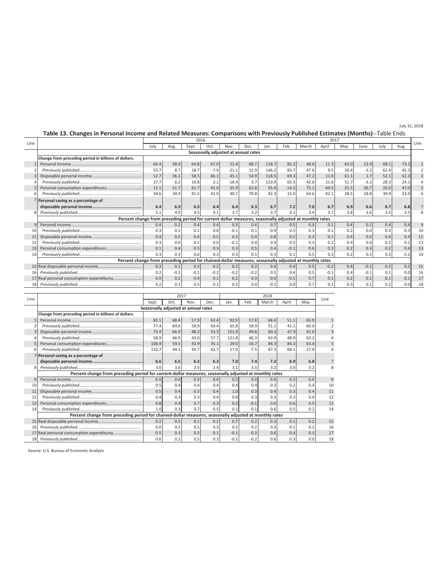# **Table 13. Changes in Personal Income and Related Measures: Comparisons with Previously Published Estimates (Months)**--Table Ends

July 31, 2018

| Line |                                                                                                        |      | 2016   |        |        |                                     |        |        | 2017    |       |        |      |                 |      |      | Line |
|------|--------------------------------------------------------------------------------------------------------|------|--------|--------|--------|-------------------------------------|--------|--------|---------|-------|--------|------|-----------------|------|------|------|
|      |                                                                                                        | July | Aug.   | Sept.  | Oct.   | Nov.                                | Dec.   | Jan.   | Feb.    | March | April  | May  | June            | July | Aug. |      |
|      |                                                                                                        |      |        |        |        | Seasonally adjusted at annual rates |        |        |         |       |        |      |                 |      |      |      |
|      | Change from preceding period in billions of dollars:                                                   |      |        |        |        |                                     |        |        |         |       |        |      |                 |      |      |      |
|      |                                                                                                        | 64.4 | 38.4   | 64.8   | 67.9   | 51.4                                | 68.7   | 118.7  | 82.2    | 48.6  | 11.3   | 62.0 | 12.9            | 68.1 | 73.2 |      |
|      |                                                                                                        | 55.7 | 8.7    | 18.7   | $-7.9$ | $-21.1$                             | 12.9   | 146.2  | 83.7    | 47.6  | 9.5    | 39.4 | $-3.2$          | 62.4 | 45.3 |      |
|      |                                                                                                        | 52.7 | 36.1   | 58.5   | 66.1   | 45.1                                | 54.9   | 118.5  | 69.3    | 47.2  | 11.6   | 61.1 | 1.7             | 52.1 | 62.3 |      |
|      |                                                                                                        | 37.7 | 6.2    | 16.8   | 2.1    | $-18.4$                             | 3.7    | 123.9  | 65.3    | 42.6  | 21.6   | 51.7 | $-3.2$          | 28.3 | 24.1 |      |
|      |                                                                                                        | 15.1 | 51.7   | 61.7   | 41.0   | 35.9                                | 62.8   | 55.4   | $-14.3$ | 75.1  | 44.5   | 25.5 | 36.7            | 26.0 | 47.0 |      |
|      |                                                                                                        | 34.6 | 34.4   | 81.5   | 41.0   | 40.7                                | 70.8   | 42.3   | 15.0    | 64.6  | 42.1   | 28.5 | 18.8            | 39.9 | 23.9 |      |
|      | Personal saving as a percentage of                                                                     |      |        |        |        |                                     |        |        |         |       |        |      |                 |      |      |      |
|      |                                                                                                        | 6.4  | 6.3    | 6.3    | 6.4    | 6.4                                 | 6.3    | 6.7    | 7.2     | 7.0   | 6.7    | 6.9  | 6.6             | 6.7  | 6.8  |      |
|      |                                                                                                        | 5.1  | 4.9    | 4.5    |        | 3.7                                 | 3.2    | 3.7    | 4.1     | 3.9   | 3.7    | 3.8  | 3.6             | 3.5  | 3.5  |      |
|      | Percent change from preceding period for current-dollar measures, seasonally adjusted at monthly rates |      |        |        |        |                                     |        |        |         |       |        |      |                 |      |      |      |
| q    |                                                                                                        | 0.4  | 0.2    | 0.4    | 0.4    | 0.3                                 | 0.4    | 0.7    | 0.5     | 0.3   | 0.1    | 0.4  | 0.1             | 0.4  | 0.4  |      |
| 10   |                                                                                                        | 0.3  | 0.1    | 0.1    | 0.0    | $-0.1$                              | 0.1    | 0.9    | 0.5     | 0.3   | 0.1    | 0.2  | 0. <sub>C</sub> | 0.4  | 0.3  | 10   |
| 11   |                                                                                                        | 0.4  | 0.3    | 0.4    | 0.5    | 0.3                                 | 0.4    | 0.8    | 0.5     | 0.3   | 0.1    | 0.4  | 0.0             | 0.4  | 0.4  | 11   |
| 12   |                                                                                                        | 0.3  | 0.0    | 0.1    | 0.0    | $-0.1$                              | 0.0    | 0.9    | 0.5     | 0.3   | 0.2    | 0.4  | 0.0             | 0.2  |      | 12   |
| 13   |                                                                                                        | 0.1  | 0.4    | 0.5    | 0.3    | 0.3                                 | 0.5    | 0.4    | $-0.1$  | 0.6   | 0.3    | 0.2  | 0.3             | 0.2  | 0.4  | 13   |
| 14   |                                                                                                        | 0.3  | 0.3    | 0.6    | 0.3    | 0.3                                 | 0.5    | 0.3    | 0.1     | 0.5   | 0.3    | 0.2  | 0.1             | 0.3  | 0.2  | 14   |
|      | Percent change from preceding period for chained-dollar measures, seasonally adjusted at monthly rates |      |        |        |        |                                     |        |        |         |       |        |      |                 |      |      |      |
|      |                                                                                                        | 0.3  | 0.1    | 0.3    | 0.2    | 0.2                                 | 0.2    | 0.4    | 0.4     | 0.5   | $-0.2$ | 0.4  | $-0.1$          | 0.3  | 0.2  | 15   |
| 16   |                                                                                                        | 0.2  | $-0.1$ | $-0.1$ | $-0.2$ | $-0.2$                              | $-0.2$ | 0.5    | 0.4     | 0.5   | $-0.1$ | 0.4  | $-0.1$          | 0.1  | 0.0  | 16   |
|      |                                                                                                        | 0.0  | 0.2    | 0.4    | 0.1    | 0.2                                 | 0.3    | 0.0    | $-0.1$  | 0.7   | 0.1    | 0.2  | 0.2             | 0.1  | 0.1  | 17   |
|      |                                                                                                        | 0.2  | 0.1    | 0.5    | 0.1    | 0.3                                 | 0.4    | $-0.1$ | 0.0     | 0.7   | 0.1    | 0.3  | 0.1             | 0.2  | 0.0  | 18   |
|      |                                                                                                        |      |        |        |        |                                     |        |        |         |       |        |      |                 |      |      |      |

| Line |                                                                                                        |       | 2017 |                                     |      |        | Line    |       |       |      |                |
|------|--------------------------------------------------------------------------------------------------------|-------|------|-------------------------------------|------|--------|---------|-------|-------|------|----------------|
|      |                                                                                                        | Sept. | Oct. | Nov.                                | Dec. | Jan.   | Feb.    | March | April | May  |                |
|      |                                                                                                        |       |      | Seasonally adjusted at annual rates |      |        |         |       |       |      |                |
|      | Change from preceding period in billions of dollars:                                                   |       |      |                                     |      |        |         |       |       |      |                |
|      |                                                                                                        | 83.1  | 68.4 | 57.9                                | 63.4 | 92.9   | 57.8    | 68.4  | 51.1  | 65.9 |                |
|      |                                                                                                        | 77.4  | 64.6 | 58.9                                | 69.4 | 65.8   | 58.9    | 51.1  | 41.1  | 60.0 |                |
|      |                                                                                                        | 73.4  | 66.0 | 48.2                                | 53.3 | 151.9  | 49.8    | 60.2  | 47.9  | 61.6 | 3              |
|      |                                                                                                        | 58.9  | 46.9 | 43.0                                | 57.7 | 121.8  | 46.3    | 43.9  | 48.9  | 63.2 |                |
|      |                                                                                                        | 106.9 | 59.5 | 92.9                                | 35.1 | 29.0   | $-16.7$ | 84.3  | 84.3  | 65.4 | 5              |
| 6    |                                                                                                        | 132.7 | 44.1 | 95.7                                | 62.7 | 17.0   | $-7.5$  | 87.3  | 68.1  | 27.8 |                |
|      | 7 Personal saving as a percentage of                                                                   |       |      |                                     |      |        |         |       |       |      |                |
|      |                                                                                                        | 6.6   | 6.5  | 6.2                                 | 6.2  | 7.0    | 7.4     | 7.2   | 6.9   | 6.8  |                |
| 8    |                                                                                                        | 3.0   | 3.0  | 2.5                                 | 2.4  | 3.1    | 3.5     | 3.2   | 3.0   | 3.2  | 8              |
|      | Percent change from preceding period for current-dollar measures, seasonally adjusted at monthly rates |       |      |                                     |      |        |         |       |       |      |                |
| 9    |                                                                                                        | 0.5   | 0.4  | 0.3                                 | 0.4  | 0.5    | 0.3     | 0.4   | 0.3   | 0.4  | $\overline{9}$ |
| 10   |                                                                                                        | 0.5   | 0.4  | 0.4                                 | 0.4  | 0.4    | 0.4     | 0.3   | 0.2   | 0.4  | 10             |
| 11   |                                                                                                        | 0.5   | 0.4  | 0.3                                 | 0.4  | 1.0    | 0.3     | 0.4   | 0.3   | 0.4  | 11             |
| 12   |                                                                                                        | 0.4   | 0.3  | 0.3                                 | 0.4  | 0.8    | 0.3     | 0.3   | 0.3   | 0.4  | 12             |
| 13   |                                                                                                        | 0.8   | 0.4  | 0.7                                 | 0.3  | 0.2    | $-0.1$  | 0.6   | 0.6   | 0.5  | 13             |
| 14   |                                                                                                        | 1.0   | 0.3  | 0.7                                 | 0.5  | 0.1    | $-0.1$  | 0.6   | 0.5   | 0.2  | 14             |
|      | Percent change from preceding period for chained-dollar measures, seasonally adjusted at monthly rates |       |      |                                     |      |        |         |       |       |      |                |
|      |                                                                                                        | 0.2   | 0.3  | 0.1                                 | 0.2  | 0.7    | 0.2     | 0.3   | 0.1   | 0.2  | 15             |
| 16   |                                                                                                        | 0.0   | 0.2  | 0.1                                 | 0.3  | 0.5    | 0.2     | 0.3   | 0.1   | 0.2  | 16             |
|      |                                                                                                        | 0.5   | 0.3  | 0.5                                 | 0.1  | $-0.1$ | $-0.3$  | 0.6   | 0.4   | 0.3  | 17             |
| 18   |                                                                                                        | 0.6   | 0.2  | 0.5                                 | 0.3  | $-0.2$ | $-0.2$  | 0.6   | 0.3   | 0.0  | 18             |